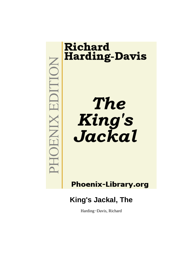# **ICILICE X INFORM**

# **Richard Harding-Davis**

**The** King's<br>Jackal

**Phoenix-Library.org** 

**King's Jackal, The**

Harding−Davis, Richard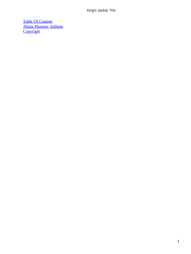[Table Of Content](#page-63-0) [About Phoenix−Edition](#page-64-0) **[Copyright](#page-67-0)**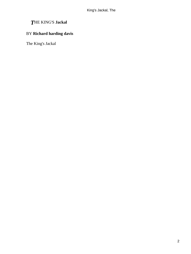# *T*HE KING'S **Jackal**

# BY **Richard harding davis**

The King's Jackal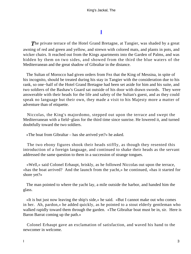# **[I](#page-63-0)**

<span id="page-3-0"></span>**The private terrace of the Hotel Grand Bretagne, at Tangier, was shaded by a great** awning of red and green and yellow, and strewn with colored mats, and plants in pots, and wicker chairs. It reached out from the Kings apartments into the Garden of Palms, and was hidden by them on two sides, and showed from the third the blue waters of the Mediterranean and the great shadow of Gibraltar in the distance.

 The Sultan of Morocco had given orders from Fez that the King of Messina, in spite of his incognito, should be treated during his stay in Tangier with the consideration due to his rank, so one−half of the Hotel Grand Bretagne had been set aside for him and his suite, and two soldiers of the Bashaw's Guard sat outside of his door with drawn swords. They were answerable with their heads for the life and safety of the Sultan's guest, and as they could speak no language but their own, they made a visit to his Majesty more a matter of adventure than of etiquette.

 Niccolas, the King's majordomo, stepped out upon the terrace and swept the Mediterranean with a field−glass for the third time since sunrise. He lowered it, and turned doubtfully toward the two soldiers.

«The boat from Gibraltar – has she arrived yet?» he asked.

 The two ebony figures shook their heads stiffly, as though they resented this introduction of a foreign language, and continued to shake their heads as the servant addressed the same question to them in a succession of strange tongues.

 «Well,» said Colonel Erhaupt, briskly, as he followed Niccolas out upon the terrace, «has the boat arrived? And the launch from the yacht,» he continued, «has it started for shore yet?»

 The man pointed to where the yacht lay, a mile outside the harbor, and handed him the glass.

 «It is but just now leaving the ship's side,» he said. «But I cannot make out who comes in her. Ah, pardon,» he added quickly, as he pointed to a stout elderly gentleman who walked rapidly toward them through the garden. «The Gibraltar boat must be in, sir. Here is Baron Barrat coming up the path.»

 Colonel Erhaupt gave an exclamation of satisfaction, and waved his hand to the newcomer in welcome.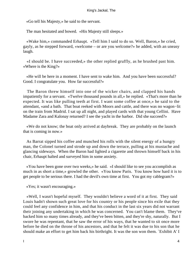«Go tell his Majesty,» he said to the servant.

The man hesitated and bowed. «His Majesty still sleeps.»

 «Wake him,» commanded Erhaupt. «Tell him I said to do so. Well, Baron,» he cried, gayly, as he stepped forward, «welcome – or are you welcome?» he added, with an uneasy laugh.

 «I should be. I have succeeded,» the other replied gruffly, as he brushed past him. «Where is the King?»

 «He will be here in a moment. I have sent to wake him. And you have been successful? Good. I congratulate you. How far successful?»

 The Baron threw himself into one of the wicker chairs, and clapped his hands impatiently for a servant. «Twelve thousand pounds in all,» he replied. «That's more than he expected. It was like pulling teeth at first. I want some coffee at once,» he said to the attendant, «and a bath. That boat reeked with Moors and cattle, and there was no wagon−lit on the train from Madrid. I sat up all night, and played cards with that young Cellini. Have Madame Zara and Kalonay returned? I see the yacht in the harbor. Did she succeed?»

 «We do not know; the boat only arrived at daybreak. They are probably on the launch that is coming in now.»

 As Barrat sipped his coffee and munched his rolls with the silent energy of a hungry man, the Colonel turned and strode up and down the terrace, pulling at his mustache and glancing sideways. When the Baron had lighted a cigarette and thrown himself back in his chair, Erhaupt halted and surveyed him in some anxiety.

 «You have been gone over two weeks,» he said. «I should like to see you accomplish as much in as short a time,» growled the other. «You know Paris. You know how hard it is to get people to be serious there. I had the devil's own time at first. You got my cablegram?»

«Yes; it wasn't encouraging.»

 «Well, I wasn't hopeful myself. They wouldn't believe a word of it at first. They said Louis hadn't shown such great love for his country or his people since his exile that they could feel any confidence in him, and that his conduct in the last six years did not warrant their joining any undertaking in which he was concerned. You can't blame them. They've backed him so many times already, and they've been bitten, and they're shy, naturally. But I swore he was repentant, that he saw the error of his ways, that he wanted to sit once more before he died on the throne of his ancestors, and that he felt it was due to his son that he should make an effort to get him back his birthright. It was the son won them. `Exhibit A' I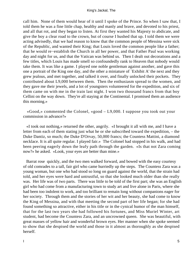call him. None of them would hear of it until I spoke of the Prince. So when I saw that, I told them he was a fine little chap, healthy and manly and brave, and devoted to his priest, and all that rot, and they began to listen. At first they wanted his Majesty to abdicate, and give the boy a clear road to the crown, but of course I hushed that up. I told them we were acting advisedly, that we had reason to know that the common people of Messina were sick of the Republic, and wanted their King; that Louis loved the common people like a father; that he would re−establish the Church in all her power, and that Father Paul was working day and night for us, and that the Vatican was behind us. Then I dealt out decorations and a few titles, which Louis has made smell so confoundedly rank to Heaven that nobody would take them. It was like a game. I played one noble gentleman against another, and gave this one a portrait of the King one day, and the other a miniature of `Exhibit A' the next and they grew jealous, and met together, and talked it over, and finally unlocked their pockets. They contributed about L9,000 between them. Then the enthusiasm spread to the women, and they gave me their jewels, and a lot of youngsters volunteered for the expedition, and six of them came on with me in the train last night. I won two thousand francs from that boy Cellini on the way down. They're all staying at the Continental. I promised them an audience this morning.»

 «Good,» commented the Colonel, «good – L9,000. I suppose you took out your commission in advance?»

 «I took out nothing,» returned the other, angrily. «I brought it all with me, and I have a letter from each of them stating just what he or she subscribed toward the expedition, – the Duke Dantiz, so much; the Duke D'Orvay, 50,000 francs; the Countess Mattini, a diamond necklace. It is all quite regular. I played fair.» The Colonel had stopped in his walk, and had been peering eagerly down the leafy path through the garden. «Is that not Zara coming now?» he asked. «Look, your eyes are better than mine.»

 Barrat rose quickly, and the two men walked forward, and bowed with the easy courtesy of old comrades to a tall, fair girl who came hurriedly up the steps. The Countess Zara was a young woman, but one who had stood so long on guard against the world, that the strain had told, and her eyes were hard and untrustful, so that she looked much older than she really was. Her life was of two parts. There was little to be told of the first part; she was an English girl who had come from a manufacturing town to study art and live alone in Paris, where she had been too indolent to work, and too brilliant to remain long without companions eager for her society. Through them and the stories of her wit and her beauty, she had come to know the King of Messina, and with that meeting the second part of her life began; for she had found something so attractive, either in his title or in the cynical humor of the man himself, that for the last two years she had followed his fortunes, and Miss Muriel Winter, art student, had become the Countess Zara, and an uncrowned queen. She was beautiful, with great masses of yellow hair and wonderful brown eyes. Her manner when she spoke seemed to show that she despised the world and those in it almost as thoroughly as she despised herself.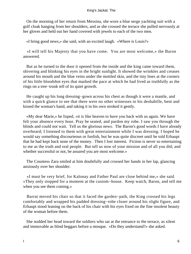On the morning of her return from Messina, she wore a blue serge yachting suit with a golf cloak hanging from her shoulders, and as she crossed the terrace she pulled nervously at her gloves and held out her hand covered with jewels to each of the two men.

«I bring good news,» she said, with an excited laugh. «Where is Louis?»

 «I will tell his Majesty that you have come. You are most welcome,» the Baron answered.

 But as he turned to the door it opened from the inside and the king came toward them, shivering and blinking his eyes in the bright sunlight. It showed the wrinkles and creases around his mouth and the blue veins under the mottled skin, and the tiny lines at the corners of his little bloodshot eyes that marked the pace at which he had lived as truthfully as the rings on a tree−trunk tell of its quiet growth.

 He caught up his long dressing−gown across his chest as though it were a mantle, and with a quick glance to see that there were no other witnesses to his deshabille, bent and kissed the woman's hand, and taking it in his own stroked it gently.

 «My dear Marie,» he lisped, «it is like heaven to have you back with us again. We have felt your absence every hour. Pray be seated, and pardon my robe. I saw you through the blinds and could not wait. Tell us the glorious news. The Baron's good words I have already overheard; I listened to them with great entertainment while I was dressing. I hoped he would say something discourteous or foolish, but he was quite discreet until he told Erhaupt that he had kept back none of the money. Then I lost interest. Fiction is never so entertaining to me as the truth and real people. But tell us now of your mission and of all you did; and whether successful or not, be assured you are most welcome.»

 The Countess Zara smiled at him doubtfully and crossed her hands in her lap, glancing anxiously over her shoulder.

 «I must be very brief, for Kalonay and Father Paul are close behind me,» she said. «They only stopped for a moment at the custom−house. Keep watch, Baron, and tell me when you see them coming.»

 Barrat moved his chair so that it faced the garden−path, the King crossed his legs comfortably and wrapped his padded dressing−robe closer around his slight figure, and Erhaupt stood leaning on the back of his chair with his eyes fixed on the fine insolent beauty of the woman before them.

 She nodded her head toward the soldiers who sat at the entrance to the terrace, as silent and immovable as blind beggars before a mosque. «Do they understand?» she asked.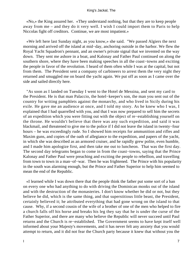«No,» the King assured her. «They understand nothing, but that they are to keep people away from me – and they do it very well. I wish I could import them to Paris to help Niccolas fight off creditors. Continue, we are most impatient.»

 «We left here last Sunday night, as you know,» she said. "We passed Algiers the next morning and arrived off the island at mid−day, anchoring outside in the harbor. We flew the Royal Yacht Squadron's pennant, and an owner's private signal that we invented on the way down. They sent me ashore in a boat, and Kalonay and Father Paul continued on along the southern shore, where they have been making speeches in all the coast−towns and exciting the people in favor of the revolution. I heard of them often while I was at the capital, but not from them. The President sent a company of carbineers to arrest them the very night they returned and smuggled me on board the yacht again. We put off as soon as I came over the side and sailed directly here.

 "As soon as I landed on Tuesday I went to the Hotel de Messina, and sent my card to the President. He is that man Palaccio, the hotel−keeper's son, the man you sent out of the country for writing pamphlets against the monarchy, and who lived in Sicily during his exile. He gave me an audience at once, and I told my story. As he knew who I was, I explained that I had quarrelled with you, and that I was now prepared to sell him the secrets of an expedition which you were fitting out with the object of re−establishing yourself on the throne. He wouldn't believe that there was any such expedition, and said it was blackmail, and threatened to give me to the police if I did not leave the island in twenty−four hours – he was exceedingly rude. So I showed him receipts for ammunition and rifles and Maxim guns, and copies of the oath of allegiance to the expedition, and papers of the yacht, in which she was described as an armored cruiser, and he rapidly grew polite, even humble, and I made him apologize first, and then take me out to luncheon. That was the first day. The second day telegrams began to come in from the coast−towns, saying that the Prince Kalonay and Father Paul were preaching and exciting the people to rebellion, and travelling from town to town in a man−of−war. Then he was frightened. The Prince with his popularity in the south was alarming enough, but the Prince and Father Superior to help him seemed to mean the end of the Republic.

 «I learned while I was down there that the people think the father put some sort of a ban on every one who had anything to do with driving the Dominican monks out of the island and with the destruction of the monasteries. I don't know whether he did or not, but they believe he did, which is the same thing, and that superstitious little beast, the President, certainly believed it; he attributed everything that had gone wrong on the island to that cause. Why, if a second cousin of the wife of a brother of one of the men who helped to fire a church falls off his horse and breaks his leg they say that he is under the curse of the Father Superior, and there are many who believe the Republic will never succeed until Paul returns and the Church is re−established. The Government seems to have kept itself well informed about your Majesty's movements, and it has never felt any anxiety that you would attempt to return, and it did not fear the Church party because it knew that without you the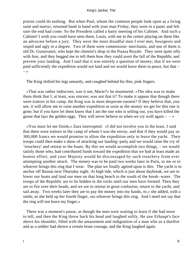priests could do nothing. But when Paul, whom the common people look upon as a living saint and martyr, returned hand in hand with your man Friday, they were in a panic and felt sure the end had come. So the President called a hasty meeting of his Cabinet. And such a Cabinet! I wish you could have seen them, Louis, with me in the centre playing on them like an advocate before a jury. They were the most dreadful men I ever met, bourgeois and stupid and ugly to a degree. Two of them were commission−merchants, and one of them is old Dr. Gustavanni, who kept the chemist's shop in the Piazza Royale. They were quite silly with fear, and they begged me to tell them how they could avert the fall of the Republic and prevent your landing. And I said that it was entirely a question of money; that if we were paid sufficiently the expedition would not land and we would leave them in peace, but that –  $\rightarrow$ 

The King shifted his legs uneasily, and coughed behind his thin, pink fingers.

 «That was rather indiscreet, was it not, Marie?» he murmured. «The idea was to make them think that I, at least, was sincere; was not that it? To make it appear that though there were traitors in his camp, the King was in most desperate earnest? If they believe that, you see, it will allow me to raise another expedition as soon as the money we get for this one is gone; but if you have let them know that I am the one who is selling out, you have killed the goose that lays the golden eggs. They will never believe us when we cry wolf again  $-\rightarrow \infty$ 

 «You must let me finish,» Zara interrupted. «I did not involve you in the least. I said that there were traitors in the camp of whom I was the envoy, and that if they would pay us 300,000 francs we would promise to allow the expedition only to leave the yacht. Their troops could then make a show of attacking our landing−party and we would raise the cry of `treachery' and retreat to the boats. By this we would accomplish two things, – we would satisfy those who, had contributed funds toward the expedition that we had at least made an honest effort, and your Majesty would be discouraged by such treachery from ever attempting another attack. The money was to be paid two weeks later in Paris, to me or to whoever brings this ring that I wear. The plan we finally agreed upon is this: The yacht is to anchor off Basnai next Thursday night. At high tide, which is just about daybreak, we are to lower our boats and land our men on that long beach to the south of the break−water. The troops of the Republic are to lie hidden in the rocks until our men have formed. Then they are to fire over their heads, and we are to retreat in great confusion, return to the yacht, and sail away. Two weeks later they are to pay the money into my hands, or,» she added, with a smile, as she held up her fourth finger, «to whoever brings this ring. And I need not say that the ring will not leave my finger.»

 There was a moment's pause, as though the men were waiting to learn if she had more to tell, and then the King threw back his head and laughed softly. He saw Erhaupt's face above his shoulder, filled with the amazement and indignation of a man who as a duellist and as a soldier had shown a certain brute courage, and the King laughed again.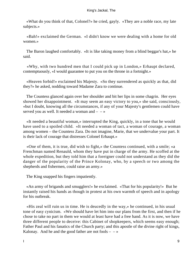«What do you think of that, Colonel?» he cried, gayly. «They are a noble race, my late subjects.»

 «Bah!» exclaimed the German. «I didn't know we were dealing with a home for old women.»

 The Baron laughed comfortably. «It is like taking money from a blind beggar's hat,» he said.

 «Why, with two hundred men that I could pick up in London,» Erhaupt declared, contemptuously, «I would guarantee to put you on the throne in a fortnight.»

 «Heaven forbid!» exclaimed his Majesty. «So they surrendered as quickly as that, did they?» he asked, nodding toward Madame Zara to continue.

 The Countess glanced again over her shoulder and bit her lips in some chagrin. Her eyes showed her disappointment. «It may seem an easy victory to you,» she said, consciously, «but I doubt, knowing all the circumstances, if any of your Majesty's gentlemen could have served you as well. It needed a woman and  $- - \infty$ 

 «It needed a beautiful woman,» interrupted the King, quickly, in a tone that he would have used to a spoiled child. «It needed a woman of tact, a woman of courage, a woman among women – the Countess Zara. Do not imagine, Marie, that we undervalue your part. It is their lack of courage that distresses Colonel Erhaupt.»

 «One of them, it is true, did wish to fight,» the Countess continued, with a smile; «a Frenchman named Renauld, whom they have put in charge of the army. He scoffed at the whole expedition, but they told him that a foreigner could not understand as they did the danger of the popularity of the Prince Kolonay, who, by a speech or two among the shepherds and fishermen, could raise an army.»

The King snapped his fingers impatiently.

 «An army of brigands and smugglers!» he exclaimed. «That for his popularity!» But he instantly raised his hands as though in protest at his own warmth of speech and in apology for his outbreak.

 «His zeal will ruin us in time. He is deucedly in the way,» he continued, in his usual tone of easy cynicism. «We should have let him into our plans from the first, and then if he chose to take no part in them we would at least have had a free hand. As it is now, we have three different people to deceive: this Cabinet of shopkeepers, which seems easy enough; Father Paul and his fanatics of the Church party; and this apostle of the divine right of kings, Kalonay. And he and the good father are not fools  $- \rightarrow \infty$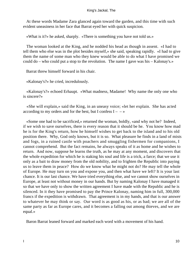At these words Madame Zara glanced again toward the garden, and this time with such evident uneasiness in her face that Barrat eyed her with quick suspicion.

«What is it?» he asked, sharply. «There is something you have not told us.»

 The woman looked at the King, and he nodded his head as though in assent. «I had to tell them who else was in the plot besides myself,» she said, speaking rapidly. «I had to give them the name of some man who they knew would be able to do what I have promised we could do – who could put a stop to the revolution. The name I gave was his – Kalonay's.»

Barrat threw himself forward in his chair.

«Kalonay's?» he cried, incredulously.

 «Kalonay's?» echoed Erhaupt. «What madness, Madame! Why name the only one who is sincere?»

 «She will explain,» said the King, in an uneasy voice; «let her explain. She has acted according to my orders and for the best, but I confess  $I - -\infty$ 

 «Some one had to be sacrificed,» returned the woman, boldly, «and why not he? Indeed, if we wish to save ourselves, there is every reason that it should be he. You know how mad he is for the King's return, how he himself wishes to get back to the island and to his old position there. Why, God only knows, but it is so. What pleasure he finds in a land of mists and fogs, in a ruined castle with poachers and smuggling fishermen for companions, I cannot comprehend. But the fact remains, he always speaks of it as home and he wishes to return. And now, suppose he learns the truth, as he may at any moment, and discovers that the whole expedition for which he is staking his soul and life is a trick, a farce; that we use it only as a bait to draw money from the old nobility, and to frighten the Republic into paying us to leave them in peace? How do we know what he might not do? He may tell the whole of Europe. He may turn on you and expose you, and then what have we left? It is your last chance. It is our last chance. We have tried everything else, and we cannot show ourselves in Europe, at least not without money in our hands. But by naming Kalonay I have managed it so that we have only to show the written agreement I have made with the Republic and he is silenced. In it they have promised to pay the Prince Kalonay, naming him in full, 300,000 francs if the expedition is withdrawn. That agreement is in my hands, and that is our answer to whatever he may think or say. Our word is as good as his, or as bad; we are all of the same party as far as Europe cares, and it becomes a falling out among thieves, and we are equal.»

Baron Barrat leaned forward and marked each word with a movement of his hand.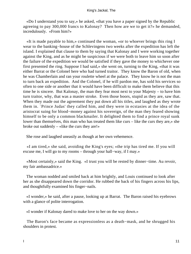«Do I understand you to say,» he asked, «that you have a paper signed by the Republic agreeing to pay 300,000 francs to Kalonay? Then how are we to get it?» he demanded, incredulously. «From him?»

 «It is made payable to him,» continued the woman, «or to whoever brings this ring I wear to the banking−house of the Schlevingens two weeks after the expedition has left the island. I explained that clause to them by saying that Kalonay and I were working together against the King, and as he might be suspicious if we were both to leave him so soon after the failure of the expedition we would be satisfied if they gave the money to whichever one first presented the ring. Suppose I had said,» she went on, turning to the King, «that it was either Barrat or the Colonel here who had turned traitor. They know the Baron of old, when he was Chamberlain and ran your roulette wheel at the palace. They know he is not the man to turn back an expedition. And the Colonel, if he will pardon me, has sold his services so often to one side or another that it would have been difficult to make them believe that this time he is sincere. But Kalonay, the man they fear most next to your Majesty – to have him turn traitor, why, that was a master stroke. Even those boors, stupid as they are, saw that. When they made out the agreement they put down all his titles, and laughed as they wrote them in. `Prince Judas' they called him, and they were in ecstasies at the idea of the aristocrat suing for blood−money against his sovereign, of the man they feared showing himself to be only a common blackmailer. It delighted them to find a prince royal sunk lower than themselves, this man who has treated them like curs – like the curs they are,» she broke out suddenly – «like the curs they are!»

She rose and laughed uneasily as though at her own vehemence.

 «I am tired,» she said, avoiding the King's eyes; «the trip has tired me. If you will excuse me, I will go to my rooms – through your hall−way, if I may.»

 «Most certainly,» said the King. «I trust you will be rested by dinner−time. Au revoir, my fair ambassadrice.»

 The woman nodded and smiled back at him brightly, and Louis continued to look after her as she disappeared down the corridor. He rubbed the back of his fingers across his lips, and thoughtfully examined his finger−nails.

 «I wonder,» he said, after a pause, looking up at Barrat. The Baron raised his eyebrows with a glance of polite interrogation.

«I wonder if Kalonay dared to make love to her on the way down.»

 The Baron's face became as expressionless as a death−mask, and he shrugged his shoulders in protest.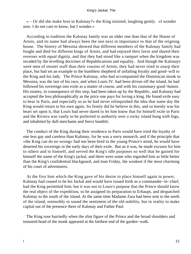« – Or did she make love to Kalonay?» the King insisted, laughing gently. «I wonder now. I do not care to know, but I wonder.»

 According to tradition the Kalonay family was an older one than that of the House of Artois, and its name had always been the one next in importance to that of the reigning house. The history of Messina showed that different members of the Kalonay family had fought and died for different kings of Artois, and had enjoyed their favor and shared their reverses with equal dignity, and that they had stood like a rampart when the kingdom was invaded by the levelling doctrines of Republicanism and equality. And though the Kalonays were men of stouter stuff than their cousins of Artois, they had never tried to usurp their place, but had set an example to the humblest shepherd of unfailing loyalty and good−will to the King and his lady. The Prince Kalonay, who had accompanied the Dominican monk to Messina, was the last of his race, and when Louis IV. had been driven off the island, he had followed his sovereign into exile as a matter of course, and with his customary good−humor. His estates, in consequence of this step, had been taken up by the Republic, and Kalonay had accepted the loss philosophically as the price one pays for loving a king. He found exile easy to bear in Paris, and especially so as he had never relinquished the idea that some day the King would return to his own again. So firmly did he believe in this, and so keenly was his heart set upon it, that Louis had never dared to let him know that for himself exile in Paris and the Riviera was vastly to be preferred to authority over a rocky island hung with fogs, and inhabited by dull merchants and fierce banditti.

 The conduct of the King during their residence in Paris would have tried the loyalty of one less gay and careless than Kalonay, for he was a sorry monarch, and if the principle that «the King can do no wrong» had not been bred in the young Prince's mind, he would have deserted his sovereign in the early days of their exile. But as it was, he made excuses for him to others and to himself, and served the King's idle purposes so well that he gained for himself the name of the King's jackal, and there were some who regarded him as little better than the King's confidential blackguard, and man Friday, the weakest if the most charming of his court of adventurers.

 At the first hint which the King gave of his desire to place himself again in power, Kalonay had ceased to be his Jackal and would have issued forth as a commander−in−chief, had the King permitted him; but it was not to Louis's purpose that the Prince should know the real object of the expedition, so he assigned its preparation to Erhaupt, and despatched Kalonay to the south of the island. At the same time Madame Zara had been sent to the north of the island, ostensibly to sound the sentiment of the old nobility, but in reality to make capital out of the presence there of Kalonay and Father Paul.

 The King rose hurriedly when the slim figure of the Prince and the broad shoulders and tonsured head of the monk appeared at the farthest end of the garden−walk.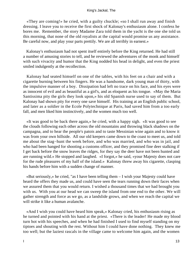«They are coming!» he cried, with a guilty chuckle; «so I shall run away and finish dressing. I leave you to receive the first shock of Kalonay's enthusiasm alone. I confess he bores me. Remember, the story Madame Zara told them in the yacht is the one she told us this morning, that none of the old royalists at the capital would promise us any assistance. Be careful now, and play your parts prettily. We are all terribly in earnest.»

 Kalonay's enthusiasm had not spent itself entirely before the King returned. He had still a number of amusing stories to tell, and he reviewed the adventures of the monk and himself with such vivacity and humor that the King nodded his head in delight, and even the priest smiled indulgently at the recollection.

 Kalonay had seated himself on one of the tables, with his feet on a chair and with a cigarette burning between his fingers. He was a handsome, dark young man of thirty, with the impulsive manner of a boy. Dissipation had left no trace on his face, and his eyes were as innocent of evil and as beautiful as a girl's, and as eloquent as his tongue. «May the Maria Santissima pity the girls they look upon,» his old Spanish nurse used to say of them. But Kalonay had shown pity for every one save himself. His training at an English public school, and later as a soldier in the Ecole Polytechnique at Paris, had saved him from a too early fall, and men liked him instinctively, and the women much too well.

 «It was good to be back there again,» he cried, with a happy sigh. «It was good to see the clouds following each other across the old mountains and throwing black shadows on the campagna, and to hear the people's patois and to taste Messinian wine again and to know it was from your own hillside. All our old keepers came down to the coast to meet us, and told me about the stag−hunt the week before, and who was married, and who was in jail, and who had been hanged for shooting a customs officer, and they promised fine deer stalking if I get back before the snow leaves the ridges, for they say the deer have not been hunted and are running wild.» He stopped and laughed. «I forgot,» he said, «your Majesty does not care for the rude pleasures of my half of the island.» Kalonay threw away his cigarette, clasping his hands before him with a sudden change of manner.

 «But seriously,» he cried, "as I have been telling them – I wish your Majesty could have heard the offers they made us, and could have seen the tears running down their faces when we assured them that you would return. I wished a thousand times that we had brought you with us. With you at our head we can sweep the island from one end to the other. We will gather strength and force as we go, as a landslide grows, and when we reach the capital we will strike it like a human avalanche.

 «And I wish you could have heard him speak,» Kalonay cried, his enthusiasm rising as he turned and pointed with his hand at the priest. «There is the leader! He made my blood turn hot with his speeches, and when he had finished I used to find myself standing on my tiptoes and shouting with the rest. Without him I could have done nothing. They knew me too well; but the laziest rascals in the village came to welcome him again, and the women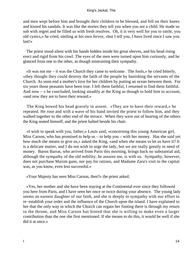and men wept before him and brought their children to be blessed, and fell on their knees and kissed his sandals. It was like the stories they tell you when you are a child. He made us sob with regret and he filled us with fresh resolves. Oh, it is very well for you to smile, you old cynics,» he cried, smiling at his own fervor, «but I tell you, I have lived since I saw you last!»

 The priest stood silent with his hands hidden inside his great sleeves, and his head rising erect and rigid from his cowl. The eyes of the men were turned upon him curiously, and he glanced from one to the other, as though mistrusting their sympathy.

 «It was not me – it was the Church they came to welcome. The fools,» he cried bitterly, «they thought they could destroy the faith of the people by banishing the servants of the Church. As soon end a mother's love for her children by putting an ocean between them. For six years those peasants have been true. I left them faithful, I returned to find them faithful. And now  $-\infty$  he concluded, looking steadily at the King as though to hold him to account, «and now they are to have their reward.»

 The King bowed his head gravely in assent. «They are to have their reward,» he repeated. He rose and with a wave of his hand invited the priest to follow him, and they walked together to the other end of the terrace. When they were out of hearing of the others the King seated himself, and the priest halted beside his chair.

 «I wish to speak with you, father,» Louis said, «concerning this young American girl, Miss Carson, who has promised to help us – to help you – with her money. Has she said yet how much she means to give us,» asked the King, «and when she means to let us have it? It is a delicate matter, and I do not wish to urge the lady, but we are really greatly in need of money. Baron Barrat, who arrived from Paris this morning, brings back no substantial aid, although the sympathy of the old nobility, he assures me, is with us. Sympathy, however, does not purchase Maxim guns, nor pay for rations, and Madame Zara's visit to the capital was, as you know, even less successful.»

«Your Majesty has seen Miss Carson, then?» the priest asked.

 «Yes, her mother and she have been staying at the Continental ever since they followed you here from Paris, and I have seen her once or twice during your absence. The young lady seems an earnest daughter of our faith, and she is deeply in sympathy with our effort to re−establish your order and the influence of the Church upon the island. I have explained to her that the only way in which the Church can regain her footing there is through my return to the throne, and Miss Carson has hinted that she is willing to make even a larger contribution than the one she first mentioned. If she means to do this, it would be well if she did it at once.»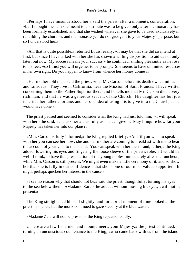«Perhaps I have misunderstood her,» said the priest, after a moment's consideration; «but I thought the sum she meant to contribute was to be given only after the monarchy has been formally established, and that she wished whatever she gave to be used exclusively in rebuilding the churches and the monastery. I do not grudge it to your Majesty's purpose, but so I understood her.»

 «Ah, that is quite possible,» returned Louis, easily; «it may be that she did so intend at first, but since I have talked with her she has shown a willing disposition to aid us not only later, but now. My success means your success,» he continued, smiling pleasantly as he rose to his feet, «so I trust you will urge her to be prompt. She seems to have unlimited resources in her own right. Do you happen to know from whence her money comes?»

 «Her mother told me,» said the priest, «that Mr. Carson before his death owned mines and railroads. They live in California, near the Mission of Saint Francis. I have written concerning them to the Father Superior there, and he tells me that Mr. Carson died a very rich man, and that he was a generous servant of the Church. His daughter has but just inherited her father's fortune, and her one idea of using it is to give it to the Church, as he would have done.»

 The priest paused and seemed to consider what the King had just told him. «I will speak with her,» he said, «and ask her aid as fully as she can give it. May I inquire how far your Majesty has taken her into our plans?»

 «Miss Carson is fully informed,» the King replied briefly. «And if you wish to speak with her you can see her now; she and her mother are coming to breakfast with me to hear the account of your visit to the island. You can speak with her then – and, father,» the King added, lowering his eyes and fingering the loose sleeve of the priest's robe, «it would be well, I think, to have this presentation of the young nobles immediately after the luncheon, while Miss Carson is still present. We might even make a little ceremony of it, and so show her that she is fully in our confidence – that she is one of our most valued supporters. It might perhaps quicken her interest in the cause.»

 «I see no reason why that should not be,» said the priest, thoughtfully, turning his eyes to the sea below them. «Madame Zara,» he added, without moving his eyes, «will not be present.»

 The King straightened himself slightly, and for a brief moment of time looked at the priest in silence, but the monk continued to gaze steadily at the blue waters.

«Madame Zara will not be present,» the King repeated, coldly.

 «There are a few fishermen and mountaineers, your Majesty,» the priest continued, turning an unconscious countenance to the King, «who came back with us from the island.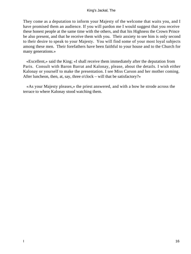They come as a deputation to inform your Majesty of the welcome that waits you, and I have promised them an audience. If you will pardon me I would suggest that you receive these honest people at the same time with the others, and that his Highness the Crown Prince be also present, and that he receive them with you. Their anxiety to see him is only second to their desire to speak to your Majesty. You will find some of your most loyal subjects among these men. Their forefathers have been faithful to your house and to the Church for many generations.»

 «Excellent,» said the King; «I shall receive them immediately after the deputation from Paris. Consult with Baron Barrat and Kalonay, please, about the details. I wish either Kalonay or yourself to make the presentation. I see Miss Carson and her mother coming. After luncheon, then, at, say, three o'clock – will that be satisfactory?»

 «As your Majesty pleases,» the priest answered, and with a bow he strode across the terrace to where Kalonay stood watching them.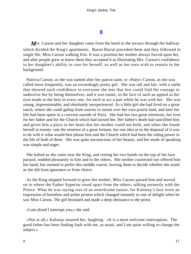# **[II](#page-63-0)**

<span id="page-17-0"></span>*M I*s. Carson and her daughter came from the hotel to the terrace through the hallway which divided the King's apartments. Baron Barrat preceded them and they followed in single file, Miss Carson walking first. It was a position her mother always forced upon her, and after people grew to know them they accepted it as illustrating Mrs. Carson's confidence in her daughter's ability to care for herself, as well as her own wish to remain in the background.

 Patricia Carson, as she was named after her patron saint, or «Patty» Carson, as she was called more frequently, was an exceedingly pretty girl. She was tall and fair, with a smile that showed such confidence in everyone she met that few could find the courage to undeceive her by being themselves, and it was easier, in the face of such an appeal as her eyes made to the best in every one, for each to act a part while he was with her. She was young, impressionable, and absolutely inexperienced. As a little girl she had lived on a great ranch, where she could gallop from sunrise to sunset over her own prairie land, and later her life had been spent in a convent outside of Paris. She had but two great emotions, her love for her father and for the Church which had nursed her. Her father's death had sanctified him and given him a place in her heart that her mother could not hold, and when she found herself at twenty−one the mistress of a great fortune, her one idea as to the disposal of it was to do with it what would best please him and the Church which had been the ruling power in the life of both of them. She was quite unconscious of her beauty, and her mode of speaking was simple and eager.

 She halted as she came near the King, and resting her two hands on the top of her lace parasol, nodded pleasantly to him and to the others. She neither courtesied nor offered him her hand, but seemed to prefer this middle course, leaving them to decide whether she acted as she did from ignorance or from choice.

 As the King stepped forward to greet her mother, Miss Carson passed him and moved on to where the Father Superior stood apart from the others, talking earnestly with the Prince. What he was saying was of an unwelcome nature, for Kalonay's face wore an expression of boredom and polite protest which changed instantly to one of delight when he saw Miss Carson. The girl hesitated and made a deep obeisance to the priest.

«I am afraid I interrupt you,» she said.

 «Not at all,» Kalonay assured her, laughing. «It is a most welcome interruption. The good father has been finding fault with me, as usual, and I am quite willing to change the subject.»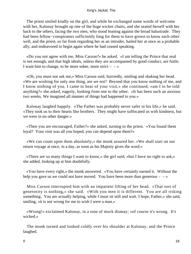The priest smiled kindly on the girl, and while he exchanged some words of welcome with her, Kalonay brought up one of the huge wicker chairs, and she seated herself with her back to the others, facing the two men, who stood leaning against the broad balustrade. They had been fellow−conspirators sufficiently long for them to have grown to know each other well, and the priest, so far from regarding her as an intruder, hailed her at once as a probable ally, and endeavored to begin again where he had ceased speaking.

 «Do you not agree with me, Miss Carson?» he asked. «I am telling the Prince that zeal is not enough, and that high ideals, unless they are accompanied by good conduct, are futile. I want him to change, to be more sober, more strict  $- \rightarrow \infty$ 

 «Oh, you must not ask me,» Miss Carson said, hurriedly, smiling and shaking her head. «We are working for only one thing, are we not? Beyond that you know nothing of me, and I know nothing of you. I came to hear of your visit,» she continued; «am I to be told anything?» she asked, eagerly, looking from one to the other. «It has been such an anxious two weeks. We imagined all manner of things had happened to you.»

 Kalonay laughed happily. «The Father was probably never safer in his life,» he said. «They took us to their hearts like brothers. They might have suffocated us with kindness, but we were in no other danger.»

 «Then you are encouraged, Father?» she asked, turning to the priest. «You found them loyal? Your visit was all you hoped, you can depend upon them?»

 «We can count upon them absolutely,» the monk assured her. «We shall start on our return voyage at once, in a day, as soon as his Majesty gives the word.»

 «There are so many things I want to know,» the girl said; «but I have no right to ask,» she added, looking up at him doubtfully.

 «You have every right,» the monk answered. «You have certainly earned it. Without the help you gave us we could not have moved. You have been more than generous  $-\rightarrow \infty$ 

 Miss Carson interrupted him with an impatient lifting of her head. «That sort of generosity is nothing,» she said. «With you men it is different. You are all risking something. You are actually helping, while I must sit still and wait. I hope, Father,» she said, smiling, «it is not wrong for me to wish I were a man.»

 «Wrong!» exclaimed Kalonay, in a tone of mock dismay; «of course it's wrong. It's wicked.»

 The monk turned and looked coldly over his shoulder at Kalonay, and the Prince laughed.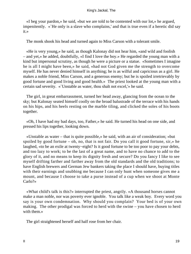«I beg your pardon,» he said, «but we are told to be contented with our lot,» he argued, impenitently. «`He only is a slave who complains,' and that is true even if a heretic did say it.»

The monk shook his head and turned again to Miss Carson with a tolerant smile.

 «He is very young,» he said, as though Kalonay did not hear him, «and wild and foolish – and yet,» he added, doubtfully, «I find I love the boy.» He regarded the young man with a kind but impersonal scrutiny, as though he were a picture or a statue. «Sometimes I imagine he is all I might have been,» he said, «had not God given me the strength to overcome myself. He has never denied himself in anything; he is as wilful and capricious as a girl. He makes a noble friend, Miss Carson, and a generous enemy; but he is spoiled irretrievably by good fortune and good living and good health.» The priest looked at the young man with a certain sad severity. «`Unstable as water, thou shalt not excel,'» he said.

 The girl, in great embarrassment, turned her head away, glancing from the ocean to the sky; but Kalonay seated himself coolly on the broad balustrade of the terrace with his hands on his hips, and his heels resting on the marble tiling, and clicked the soles of his boots together.

 «Oh, I have had my bad days, too, Father,» he said. He turned his head on one side, and pressed his lips together, looking down.

 «Unstable as water – that is quite possible,» he said, with an air of consideration; «but spoiled by good fortune – oh, no, that is not fair. Do you call it good fortune,  $\sin x$  he laughed, «to be an exile at twenty−eight? Is it good fortune to be too poor to pay your debts, and too lazy to work; to be the last of a great name, and to have no chance to add to the glory of it, and no means to keep its dignity fresh and secure? Do you fancy I like to see myself drifting farther and farther away from the old standards and the old traditions; to have English brewers and German Jew bankers taking the place I should have, buying titles with their earnings and snubbing me because I can only hunt when someone gives me a mount, and because I choose to take a purse instead of a cup when we shoot at Monte Carlo?»

 «What child's talk is this?» interrupted the priest, angrily. «A thousand horses cannot make a man noble, nor was poverty ever ignoble. You talk like a weak boy. Every word you say is your own condemnation. Why should you complain? Your bed is of your own making. The other prodigal was forced to herd with the swine – you have chosen to herd with them.»

The girl straightened herself and half rose from her chair.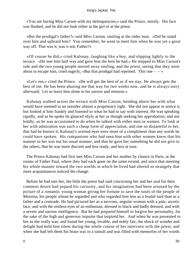«You are boring Miss Carson with my delinquencies,» said the Prince, sternly. His face was flushed, and he did not look either at the girl or at the priest.

 «But the prodigal's father?» said Miss Carson, smiling at the older man. «Did he stand over him and upbraid him? You remember, he went to meet him when he was yet a great way off. That was it, was it not, Father?»

 «Of course he did,» cried Kalonay, laughing like a boy, and slipping lightly to the terrace. «He met him half way and gave him the best he had.» He stepped to Miss Carson's side and the two young people moved away smiling, and the priest, seeing that they were about to escape him, cried eagerly, «But that prodigal had repented. This one  $-\rightarrow \infty$ 

 «Let's run,» cried the Prince. «He will get the best of us if we stay. He always gets the best of me. He has been abusing me that way for two weeks now, and he is always sorry afterward. Let us leave him alone to his sorrow and remorse.»

 Kalonay walked across the terrace with Miss Carson, bending above her with what would have seemed to an outsider almost a proprietary right. She did not appear to notice it, but looked at him frankly and listened to what he had to say with interest. He was speaking rapidly, and as he spoke he glanced shyly at her as though seeking her approbation, and not boldly, as he was accustomed to do when he talked with either men or women. To look at her with admiration was such a cheap form of appreciation, and one so distasteful to her, that had he known it, Kalonay's averted eyes were more of a compliment than any words he could have spoken. His companions who had seen him with other women knew that his manner to her was not his usual manner, and that he gave her something he did not give to the others; that he was more discreet and less ready, and less at ease.

 The Prince Kalonay had first met Miss Carson and her mother by chance in Paris, at the rooms of Father Paul, where they had each gone on the same errand, and since that meeting his whole manner toward the two worlds in which he lived had altered so strangely that mere acquaintances noticed the change.

 Before he had met her, the little the priest had said concerning her and her zeal for their common desire had piqued his curiosity, and his imagination had been aroused by the picture of a romantic young woman giving her fortune to save the souls of the people of Messina; his people whom he regarded and who regarded him less as a feudal lord than as a father and a comrade. He had pictured her as a nervous, angular woman with a pale, ascetic face, and with the restless eyes of an enthusiast, dressed in black and badly dressed, and with a severe and narrow intelligence. But he had prepared himself to forgive her personality, for the sake of the high and generous impulse that inspired her. And when he was presented to her as she really was, and found her young, lovable, and nobly fair, the shock of wonder and delight had held him silent during the whole course of her interview with the priest, and when she had left them his brain was in a tumult and was filled with memories of her words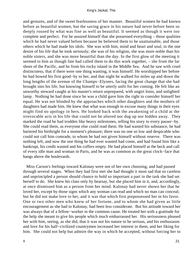and gestures, and of the sweet fearlessness of her manner. Beautiful women he had known before as beautiful women, but the saving grace in his nature had never before been so deeply roused by what was fine as well as beautiful. It seemed as though it were too complete and perfect. For he assured himself that she possessed everything – those qualities which he had never valued before because he believed them to be unattainable, and those others which he had made his idols. She was with him, mind and heart and soul, in the one desire of his life that he took seriously; she was of his religion, she was more noble than his noble sisters, and she was more beautiful than the day. In the first glow of the meeting it seemed to him as though fate had called them to do this work together, – she from the far shore of the Pacific, and he from his rocky island in the Middle Sea. And he saw with cruel distinctness, that if there were one thing wanting, it was himself. He worshipped her before he had bowed his first good−by to her, and that night he walked for miles up and down the long lengths of the avenue of the Champs−Elysees, facing the great change that she had brought into his life, but knowing himself to be utterly unfit for her coming. He felt like an unworthy steward caught at his master's return unprepared, with ungirt loins, and unlighted lamp. Nothing he had done since he was a child gave him the right to consider himself her equal. He was not blinded by the approaches which other daughters and the mothers of daughters had made him. He knew that what was enough to excuse many things in their eyes might find no apology in hers. He looked back with the awakening of a child at the irrevocable acts in his life that could not be altered nor dug up nor hidden away. They marked the road he had trodden like heavy milestones, telling his story to every passer−by. She could read them, as everyone else could read them. He had wasted his substance, he had bartered his birthright for a moment's pleasure; there was no one so low and despicable who could not call him comrade, to whom he had not given himself without reserve. There was nothing left, and now the one thing he had ever wanted had come, and had found him like a bankrupt, his credit wasted and his coffers empty. He had placed himself at the beck and call of every idle man and woman in Paris, and he was as common as the great clock−face that hangs above the boulevards.

 Miss Carson's feelings toward Kalonay were not of her own choosing, and had passed through several stages. When they had first met she had thought it most sad that so careless and unprincipled a person should chance to hold so important a part in the task she had set herself to do. She knew his class only by hearsay, but she placed him in it, and, accordingly, at once dismissed him as a person from her mind. Kalonay had never shown her that he loved her, except by those signs which any woman can read and which no man can conceal; but he did not make love to her, and it was that which first prepossessed her in his favor. One or two other men who knew of her fortune, and to whom she had given as little encouragement as she had to Kalonay, had been less considerate. But his attitude toward her was always that of a fellow−worker in the common cause. He treated her with a gratitude for the help she meant to give his people which much embarrassed her. His seriousness pleased her with him, seeing, as she did, that it was not his nature to be serious, and his enthusiasm and love for his half−civilized countrymen increased her interest in them, and her liking for him. She could not help but admire the way in which he accepted, without forcing her to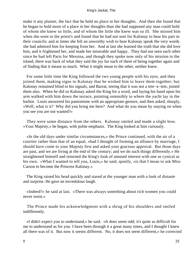make it any plainer, the fact that he held no place in her thoughts. And then she found that he began to hold more of a place in her thoughts than she had supposed any man could hold of whom she knew so little, and of whom the little she knew was so ill. She missed him when she went to the priest's and found that he had not sent for Kalonay to bear his part in their councils; and at times she felt an unworthy wish to hear Kalonay speak the very words she had admired him for keeping from her. And at last she learned the truth that she did love him, and it frightened her, and made her miserable and happy. They had not seen each other since he had left Paris for Messina, and though they spoke now only of his mission to the island, there was back of what they said the joy for each of them of being together again and of finding that it meant so much. What it might mean to the other, neither knew.

 For some little time the King followed the two young people with his eyes, and then joined them, making signs to Kalonay that he wished him to leave them together; but Kalonay remained blind to his signals, and Barrat, seeing that it was not a tete−a−tete, joined them also. When he did so Kalonay asked the King for a word, and laying his hand upon his arm walked with him down the terrace, pointing ostensibly to where the yacht lay in the harbor. Louis answered his pantomime with an appropriate gesture, and then asked, sharply, «Well, what is it? Why did you bring me here? And what do you mean by staying on when you see you are not wanted?»

 They were some distance from the others. Kalonay smiled and made a slight bow. «Your Majesty,» he began, with polite emphasis. The King looked at him curiously.

 «In the old days under similar circumstances,» the Prince continued, with the air of a courtier rather than that of an equal, «had I thought of forming an alliance by marriage, I should have come to your Majesty first and asked your gracious approval. But those days are past, and we are living at the end of the century; and we do such things differently.» He straightened himself and returned the King's look of amused interest with one as cynical as his own. «What I wanted to tell you, Louis,» he said, quietly, «is that I mean to ask Miss Carson to become the Princess Kalonay.»

 The King raised his head quickly and stared at the younger man with a look of distaste and surprise. He gave an incredulous laugh.

 «Indeed?» he said at last. «There was always something about rich women you could never resist.»

 The Prince made his acknowledgment with a shrug of his shoulders and smiled indifferently.

 «I didn't expect you to understand,» he said. «It does seem odd; it's quite as difficult for me to understand as for you. I have been through it a great many times, and I thought I knew all there was of it. But now it seems different. No, it does not seem different,» he corrected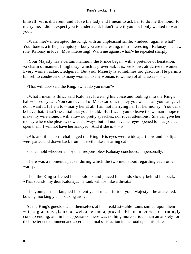himself; «it is different, and I love the lady and I mean to ask her to do me the honor to marry me. I didn't expect you to understand, I don't care if you do. I only wanted to warn you.»

 «Warn me?» interrupted the King, with an unpleasant smile. «Indeed! against what? Your tone is a trifle peremptory – but you are interesting, most interesting! Kalonay in a new role, Kalonay in love! Most interesting! Warn me against what?» he repeated sharply.

 «Your Majesty has a certain manner,» the Prince began, with a pretence of hesitation, «a charm of manner, I might say, which is proverbial. It is, we know, attractive to women. Every woman acknowledges it. But your Majesty is sometimes too gracious. He permits himself to condescend to many women, to any woman, to women of all classes  $- \rightarrow \infty$ 

«That will do,» said the King; «what do you mean?»

 «What I mean is this,» said Kalonay, lowering his voice and looking into the King's half−closed eyes. «You can have all of Miss Carson's money you want – all you can get. I don't want it. If I am to – marry her at all, I am not marrying her for her money. You can't believe that. It isn't essential that you should. But I want you to leave the woman I hope to make my wife alone. I will allow no pretty speeches, nor royal attentions. She can give her money where she pleases, now and always; but I'll not have her eyes opened to – as you can open them. I will not have her annoyed. And if she is  $- \rightarrow \infty$ 

 «Ah, and if she is?» challenged the King. His eyes were wide apart now and his lips were parted and drawn back from his teeth, like a snarling cat – –

«I shall hold whoever annoys her responsible,» Kalonay concluded, impersonally.

 There was a moment's pause, during which the two men stood regarding each other warily.

 Then the King stiffened his shoulders and placed his hands slowly behind his back. «That sounds, my dear Kalonay,» he said, «almost like a threat.»

 The younger man laughed insolently. «I meant it, too, your Majesty,» he answered, bowing mockingly and backing away.

 As the King's guests seated themselves at his breakfast−table Louis smiled upon them with a gracious glance of welcome and approval. His manner was charmingly condescending, and in his appearance there was nothing more serious than an anxiety for their better entertainment and a certain animal satisfaction in the food upon his plate.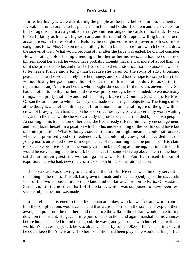In reality his eyes were distributing the people at the table before him into elements favorable or unfavorable to his plans, and in his mind he shuffled them and their values for him or against him as a gambler arranges and rearranges the cards in his hand. He saw himself plainly as his own highest card, and Barrat and Erhaupt as willing but mediocre accomplices. In Father Paul and Kalonay he recognized his most powerful allies or most dangerous foes. Miss Carson meant nothing to him but a source from which he could draw the sinews of war. What would become of her after the farce was ended, he did not consider. He was not capable of comprehending either her or her motives, and had he concerned himself about her at all, he would have probably thought that she was more of a fool than the saint she pretended to be, and that she had come to their assistance more because she wished to be near a Prince and a King than because she cared for the souls of sixty thousand peasants. That she would surely lose her money, and could hardly hope to escape from them without losing her good name, did not concern him. It was not his duty to look after the reputation of any American heiress who thought she could afford to be unconventional. She had a mother to do that for her, and she was pretty enough, he concluded, to excuse many things, – so pretty that he wondered if he might brave the Countess Zara and offer Miss Carson the attentions to which Kalonay had made such arrogant objections. The King smiled at the thought, and let his little eyes fall for a moment on the tall figure of the girl with its crown of heavy golden hair, and on her clever, earnest eyes. She was certainly worth waiting for, and in the meanwhile she was virtually unprotected and surrounded by his own people. According to his translation of her acts, she had already offered him every encouragement, and had placed herself in a position which to his understanding of the world could have but one interpretation. What Kalonay's sudden infatuation might mean he could not foresee; whether it promised good or threatened evil, he could only guess, but he decided that the young man's unwonted show of independence of the morning must be punished. His claim to exclusive proprietorship in the young girl struck the King as amusing, but impertinent. It would be easy sailing in spite of all, he decided; for somewhere up above them in the hotel sat the unbidden guest, the woman against whom Father Paul had raised the ban of expulsion, but who had, nevertheless, tricked both him and the faithful Jackal.

 The breakfast was drawing to an end and the faithful Niccolas was the only servant remaining in the room. The talk had grown intimate and touched openly upon the successful visit of the two ambassadors to the island, and of Barrat's mission to Paris. Of Madame Zara's visit to the northern half of the island, which was supposed to have been less successful, no mention was made.

 Louis felt as he listened to them like a man at a play, who knows that at a word from him the complications would cease, and that were he to rise in the stalls and explain them away, and point out the real hero and denounce the villain, the curtain would have to ring down on the instant. He gave a little purr of satisfaction, and again marshalled his chances before him and smiled to find them good. He was grandly at peace with himself and with the world. Whatever happened, he was already richer by some 300,000 francs, and in a day, if he could keep the American girl to her expedition had been played he would be free, – free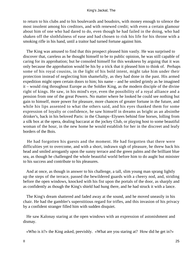to return to his clubs and to his boulevards and boudoirs, with money enough to silence the most insolent among his creditors, and with renewed credit; with even a certain glamour about him of one who had dared to do, even though he had failed in the doing, who had shaken off the slothfulness of ease and had chosen to risk his life for his throne with a smoking rifle in his hand, until a traitor had turned fortune against him.

 The King was amused to find that this prospect pleased him vastly. He was surprised to discover that, careless as he thought himself to be to public opinion, he was still capable of caring for its approbation; but he consoled himself for this weakness by arguing that it was only because the approbation would be his by a trick that it pleased him to think of. Perhaps some of his royal cousins, in the light of his bold intent, might take him under their protection instead of neglecting him shamefully, as they had done in the past. His armed expedition might open certain doors to him; his name – and he smiled grimly as he imagined it – would ring throughout Europe as the Soldier King, as the modern disciple of the divine right of kings. He saw, in his mind's eye, even the possibility of a royal alliance and a pension from one of the great Powers. No matter where he looked he could see nothing but gain to himself, more power for pleasure, more chances of greater fortune in the future, and while his lips assented to what the others said, and his eyes thanked them for some expression of loyalty or confidence, he saw himself in dreams as bright as an absinthe drinker's, back in his beloved Paris: in the Champs−Elysees behind fine horses, lolling from a silk box at the opera, dealing baccarat at the jockey Club, or playing host to some beautiful woman of the hour, in the new home he would establish for her in the discreet and leafy borders of the Bois.

 He had forgotten his guests and the moment. He had forgotten that there were difficulties yet to overcome, and with a short, indrawn sigh of pleasure, he threw back his head and smiled arrogantly upon the sunny terrace and the green palms and the brilliant blue sea, as though he challenged the whole beautiful world before him to do aught but minister to his success and contribute to his pleasures.

 And at once, as though in answer to his challenge, a tall, slim young man sprang lightly up the steps of the terrace, passed the bewildered guards with a cheery nod, and, striding before the open windows, knocked with his fist upon the portals of the door, as sharply and as confidently as though the King's shield had hung there, and he had struck it with a lance.

 The King's dream shattered and faded away at the sound, and he moved uneasily in his chair. He had the gambler's superstitious regard for trifles, and this invasion of his privacy by a confident stranger filled him with sudden disquiet.

 He saw Kalonay staring at the open windows with an expression of astonishment and dismay.

«Who is it?» the King asked, peevishly. «What are you staring at? How did he get in?»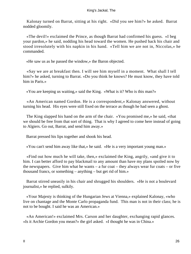Kalonay turned on Barrat, sitting at his right. «Did you see him?» he asked. Barrat nodded gloomily.

 «The devil!» exclaimed the Prince, as though Barrat had confirmed his guess. «I beg your pardon,» he said, nodding his head toward the women. He pushed back his chair and stood irresolutely with his napkin in his hand. «Tell him we are not in, Niccolas,» he commanded.

«He saw us as he passed the window,» the Baron objected.

 «Say we are at breakfast then. I will see him myself in a moment. What shall I tell him?» he asked, turning to Barrat. «Do you think he knows? He must know, they have told him in Paris.»

«You are keeping us waiting,» said the King. «What is it? Who is this man?»

 «An American named Gordon. He is a correspondent,» Kalonay answered, without turning his head. His eyes were still fixed on the terrace as though he had seen a ghost.

 The King slapped his hand on the arm of the chair. «You promised me,» he said, «that we should be free from that sort of thing. That is why I agreed to come here instead of going to Algiers. Go out, Barrat, and send him away.»

Barrat pressed his lips together and shook his head.

«You can't send him away like that,» he said. «He is a very important young man.»

 «Find out how much he will take, then,» exclaimed the King, angrily, «and give it to him. I can better afford to pay blackmail to any amount than have my plans spoiled now by the newspapers. Give him what he wants – a fur coat – they always wear fur coats – or five thousand francs, or something – anything – but get rid of him.»

 Barrat stirred uneasily in his chair and shrugged his shoulders. «He is not a boulevard journalist,» he replied, sulkily.

 «Your Majesty is thinking of the Hungarian Jews at Vienna,» explained Kalonay, «who live on chantage and the Monte Carlo propaganda fund. This man is not in their class; he is not to be bought. I said he was an American.»

 «An American!» exclaimed Mrs. Carson and her daughter, exchanging rapid glances. «Is it Archie Gordon you mean?» the girl asked. «I thought he was in China.»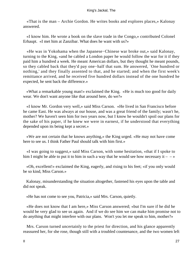«That is the man – Archie Gordon. He writes books and explores places,» Kalonay answered.

 «I know him. He wrote a book on the slave trade in the Congo,» contributed Colonel Erhaupt. «I met him at Zanzibar. What does he want with us?»

 «He was in Yokohama when the Japanese−Chinese war broke out,» said Kalonay, turning to the King, «and he cabled a London paper he would follow the war for it if they paid him a hundred a week. He meant American dollars, but they thought he meant pounds, so they cabled back that they'd pay one−half that sum. He answered, `One hundred or nothing,' and they finally assented to that, and he started; and when the first week's remittance arrived, and he received five hundred dollars instead of the one hundred he expected, he sent back the difference.»

 «What a remarkable young man!» exclaimed the King. «He is much too good for daily wear. We don't want anyone like that around here, do we?»

 «I know Mr. Gordon very well,» said Miss Carson. «He lived in San Francisco before he came East. He was always at our house, and was a great friend of the family; wasn't he, mother? We haven't seen him for two years now, but I know he wouldn't spoil our plans for the sake of his paper, if he knew we were in earnest, if he understood that everything depended upon its being kept a secret.»

 «We are not certain that he knows anything,» the King urged. «He may not have come here to see us. I think Father Paul should talk with him first.»

 «I was going to suggest,» said Miss Carson, with some hesitation, «that if I spoke to him I might be able to put it to him in such a way that he would see how necessary it  $-\rightarrow$ 

 «Oh, excellent!» exclaimed the King, eagerly, and rising to his feet; «if you only would be so kind, Miss Carson.»

 Kalonay, misunderstanding the situation altogether, fastened his eyes upon the table and did not speak.

«He has not come to see you, Patricia,» said Mrs. Carson, quietly.

 «He does not know that I am here,» Miss Carson answered; «but I'm sure if he did he would be very glad to see us again. And if we do see him we can make him promise not to do anything that might interfere with our plans. Won't you let me speak to him, mother?»

 Mrs. Carson turned uncertainly to the priest for direction, and his glance apparently reassured her, for she rose, though still with a troubled countenance, and the two women left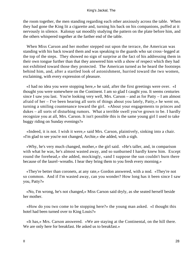the room together, the men standing regarding each other anxiously across the table. When they had gone the King lit a cigarette and, turning his back on his companions, puffed at it nervously in silence. Kalonay sat moodily studying the pattern on the plate before him, and the others whispered together at the farther end of the table.

 When Miss Carson and her mother stepped out upon the terrace, the American was standing with his back toward them and was speaking to the guards who sat cross−legged at the top of the steps. They showed no sign of surprise at the fact of his addressing them in their own tongue further than that they answered him with a show of respect which they had not exhibited toward those they protected. The American turned as he heard the footsteps behind him, and, after a startled look of astonishment, hurried toward the two women, exclaiming, with every expression of pleasure.

 «I had no idea you were stopping here,» he said, after the first greetings were over. «I thought you were somewhere on the Continent. I am so glad I caught you. It seems centuries since I saw you last. You're looking very well, Mrs. Carson – and as for Patty – I am almost afraid of her – I've been hearing all sorts of things about you lately, Patty,» he went on, turning a smiling countenance toward the girl. «About your engagements to princes and dukes – all sorts of disturbing rumors. What a terrible swell you've grown to be. I hardly recognize you at all, Mrs. Carson. It isn't possible this is the same young girl I used to take buggy riding on Sunday evenings?»

 «Indeed, it is not. I wish it were,» said Mrs. Carson, plaintively, sinking into a chair. «I'm glad to see you're not changed, Archie,» she added, with a sigh.

 «Why, he's very much changed, mother,» the girl said. «He's taller, and, in comparison with what he was, he's almost wasted away, and so sunburned I hardly knew him. Except round the forehead,» she added, mockingly, «and I suppose the sun couldn't burn there because of the laurel−wreaths. I hear they bring them to you fresh every morning.»

 «They're better than coronets, at any rate,» Gordon answered, with a nod. «They're not so common. And if I'm wasted away, can you wonder? How long has it been since I saw you, Patty?»

 «No, I'm wrong, he's not changed,» Miss Carson said dryly, as she seated herself beside her mother.

 «How do you two come to be stopping here?» the young man asked. «I thought this hotel had been turned over to King Louis?»

 «It has,» Mrs. Carson answered. «We are staying at the Continental, on the hill there. We are only here for breakfast. He asked us to breakfast.»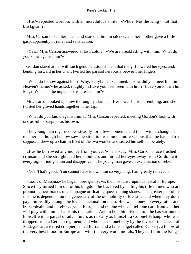«He?» repeated Gordon, with an incredulous smile. «Who? Not the King – not that blackguard?»

 Miss Carson raised her head, and stared at him in silence, and her mother gave a little gasp, apparently of relief and satisfaction.

 «Yes,» Miss Carson answered at last, coldly. «We are breakfasting with him. What do you know against him?»

 Gordon stared at her with such genuine astonishment that the girl lowered her eyes, and, bending forward in her chair, twirled her parasol nervously between her fingers.

 «What do I know against him? Why, Patty!» he exclaimed. «How did you meet him, in Heaven's name?» he asked, roughly. «Have you been seen with him? Have you known him long? Who had the impudence to present him?»

 Mrs. Carson looked up, now thoroughly alarmed. Her lower lip was trembling, and she twisted her gloved hands together in her lap.

 «What do you know against him?» Miss Carson repeated, meeting Gordon's look with one as full of surprise as his own.

 The young man regarded her steadily for a few moments, and then, with a change of manner, as though he now saw the situation was much more serious than he had at first supposed, drew up a chair in front of the two women and seated himself deliberately.

 «Has he borrowed any money from you yet?» he asked. Miss Carson's face flushed crimson and she straightened her shoulders and turned her eyes away from Gordon with every sign of indignation and disapproval. The young man gave an exclamation of relief.

«No? That's good. You cannot have known him so very long. I am greatly relieved.»

 «Louis of Messina,» he began more gently, «is the most unscrupulous rascal in Europe. Since they turned him out of his kingdom he has lived by selling his title to men who are promoting new brands of champagne or floating queer mining shares. The greater part of his income is dependent on the generosity of the old nobility of Messina, and when they don't pay him readily enough, he levies blackmail on them. He owes money to every tailor and horse−dealer and hotel−keeper in Europe, and no one who can tell one card from another will play with him. That is his reputation. And to help him live up to it he has surrounded himself with a parcel of adventurers as rascally as himself: a Colonel Erhaupt who was dropped from a German regiment, and who is a Colonel only by the favor of the Queen of Madagascar; a retired croupier named Barrat; and a fallen angel called Kalonay, a fellow of the very best blood in Europe and with the very worst morals. They call him the King's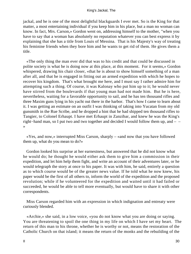jackal, and he is one of the most delightful blackguards I ever met. So is the King for that matter, a most entertaining individual if you keep him in his place, but a man no woman can know. In fact, Mrs. Carson,» Gordon went on, addressing himself to the mother, "when you have to say that a woman has absolutely no reputation whatever you can best express it by explaining that she has a title from Louis of Messina. That is his Majesty's way of treating his feminine friends when they bore him and he wants to get rid of them. He gives them a title.

 «The only thing the man ever did that was to his credit and that could be discussed in polite society is what he is doing now at this place, at this moment. For it seems,» Gordon whispered, drawing his chair closer, «that he is about to show himself something of a man after all, and that he is engaged in fitting out an armed expedition with which he hopes to recover his kingdom. That's what brought me here, and I must say I rather admire him for attempting such a thing. Of course, it was Kalonay who put him up to it; he would never have stirred from the boulevards if that young man had not made him. But he is here, nevertheless, waiting for a favorable opportunity to sail, and he has ten thousand rifles and three Maxim guns lying in his yacht out there in the harbor. That's how I came to learn about it. I was getting an estimate on an outfit I was thinking of taking into Yucatan from my old gunsmith in the Rue Scribe, and he dropped a hint that he had shipped ten thousand rifles to Tangier, to Colonel Erhaupt. I have met Erhaupt in Zanzibar, and knew he was the King's right−hand man, so I put two and two together and decided I would follow them up, and – – »

 «Yes, and now,» interrupted Miss Carson, sharply – «and now that you have followed them up, what do you mean to do?»

 Gordon looked his surprise at her earnestness, but answered that he did not know what he would do; he thought he would either ask them to give him a commission in their expedition, and let him help them fight, and write an account of their adventures later, or he would telegraph the story at once to his paper. It was with him, he said, entirely a question as to which course would be of the greater news value. If he told what he now knew, his paper would be the first of all others to, inform the world of the expedition and the proposed revolution; while if he volunteered for the expedition and waited until it had failed or succeeded, he would be able to tell more eventually, but would have to share it with other correspondents.

 Miss Carson regarded him with an expression in which indignation and entreaty were curiously blended.

 «Archie,» she said, in a low voice, «you do not know what you are doing or saying. You are threatening to spoil the one thing in my life on which I have set my heart. The return of this man to his throne, whether he is worthy or not, means the restoration of the Catholic Church on that island; it means the return of the monks and the rebuilding of the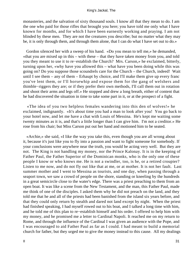monasteries, and the salvation of sixty thousand souls. I know all that they mean to do. I am the one who paid for those rifles that brought you here; you have told me only what I have known for months, and for which I have been earnestly working and praying. I am not blinded by these men. They are not the creatures you describe; but no matter what they may be, it is only through them, and through them alone, that I can do what I have set out to do.»

 Gordon silenced her with a sweep of his hand. «Do you mean to tell me,» he demanded, «that you are mixed up in this – with these – that they have taken money from you, and told you they meant to use it to re−establish the Church? Mrs. Carson,» he exclaimed, bitterly, turning upon her, «why have you allowed this – what have you been doing while this was going on? Do you suppose those scoundrels care for the Church – the Church, indeed! Wait until I see them – any of them – Erhaupt by choice, and I'll make them give up every franc you've lent them, or I'll horsewhip and expose them for the gang of welshers and thimble−riggers they are; or if they prefer their own methods, I'll call them out in rotation and shoot their arms and legs off.» He stopped and drew a long breath, either of content that he had discovered the situation in time to take some part in it, or at the prospect of a fight.

 «The idea of you two helpless females wandering into this den of wolves!» he exclaimed, indignantly. «It's about time you had a man to look after you! You go back to your hotel now, and let me have a chat with Louis of Messina. He's kept me waiting some twenty minutes as it is, and that's a little longer than I can give him. I'm not a creditor.» He rose from his chair; but Miss Carson put out her hand and motioned him to be seated.

 «Archie,» she said, «I like the way you take this, even though you are all wrong about it, because it's just like you to fly into a passion and want to fight someone for somebody. If your conclusions were anywhere near the truth, you would be acting very well. But they are not. The King is not handling my money, nor the Prince Kalonay. It is in the keeping of Father Paul, the Father Superior of the Dominican monks, who is the only one of these people I know or who knows me. He is not a swindler, too, is he, or a retired croupier? Listen to me now, and do not fly out like that at me, or at mother. It is not her fault. Last summer mother and I went to Messina as tourists, and one day, when passing through a seaport town, we saw a crowd of people on the shore, standing or kneeling by the hundreds in a great semicircle close to the water's edge. There was a priest preaching to them from an open boat. It was like a scene from the New Testament, and the man, this Father Paul, made me think of one of the disciples. I asked them why he did not preach on the land, and they told me that he and all of the priests had been banished from the island six years before, and that they could only return by stealth and dared not land except by night. When the priest had finished speaking, I had myself rowed out to his boat, and I talked a long time with him, and he told me of this plan to re−establish himself and his order. I offered to help him with my money, and he promised me a letter to Cardinal Napoli. It reached me on my return to Rome, and through the influence of the Cardinal I was given an audience with the Pope, and I was encouraged to aid Father Paul as far as I could. I had meant to build a memorial church for father, but they urged me to give the money instead to this cause. All my dealings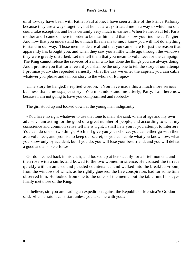until to−day have been with Father Paul alone. I have seen a little of the Prince Kalonay because they are always together; but he has always treated me in a way to which no one could take exception, and he is certainly very much in earnest. When Father Paul left Paris mother and I came on here in order to be near him, and that is how you find me at Tangier. And now that you understand how much this means to me, I know you will not do anything to stand in our way. Those men inside are afraid that you came here for just the reason that apparently has brought you, and when they saw you a little while ago through the windows they were greatly disturbed. Let me tell them that you mean to volunteer for the campaign. The King cannot refuse the services of a man who has done the things you are always doing. And I promise you that for a reward you shall be the only one to tell the story of our attempt. I promise you,» she repeated earnestly, «that the day we enter the capital, you can cable whatever you please and tell our story to the whole of Europe.»

 «The story be hanged!» replied Gordon. «You have made this a much more serious business than a newspaper story. You misunderstand me utterly, Patty. I am here now because I am not going to have you compromised and robbed.»

The girl stood up and looked down at the young man indignantly.

 «You have no right whatever to use that tone to me,» she said. «I am of age and my own adviser. I am acting for the good of a great number of people, and according to what my conscience and common sense tell me is right. I shall hate you if you attempt to interfere. You can do one of two things, Archie. I give you your choice: you can either go with them as a volunteer, and promise to keep our secret; or you can cable what you know now, what you know only by accident, but if you do, you will lose your best friend, and you will defeat a good and a noble effort.»

 Gordon leaned back in his chair, and looked up at her steadily for a brief moment, and then rose with a smile, and bowed to the two women in silence. He crossed the terrace quickly with an amused and puzzled countenance, and walked into the breakfast−room, from the windows of which, as he rightly guessed, the five conspirators had for some time observed him. He looked from one to the other of the men about the table, until his eyes finally met those of the King.

 «I believe, sir, you are leading an expedition against the Republic of Messina?» Gordon said. «I am afraid it can't start unless you take me with you.»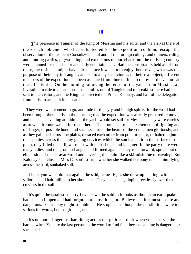# **[III](#page-63-0)**

<span id="page-33-0"></span>**The presence in Tangier of the King of Messina and his suite, and the arrival there of** the French noblemen who had volunteered for the expedition, could not escape the observation of the resident Consuls−General and of the foreign colony, and dinners, riding and hunting parties, pig−sticking, and excursions on horseback into the outlying country were planned for their honor and daily entertainment. Had the conspirators held aloof from these, the residents might have asked, since it was not to enjoy themselves, what was the purpose of their stay in Tangier; and so, to allay suspicion as to their real object, different members of the expedition had been assigned from time to time to represent the visitors at these festivities. On the morning following the return of the yacht from Messina, an invitation to ride to a farmhouse some miles out of Tangier and to breakfast there had been sent to the visitors, and the King had directed the Prince Kalonay, and half of the delegation from Paris, to accept it in his name.

 They were well content to go, and rode forth gayly and in high spirits, for the word had been brought them early in the morning that the expedition was already prepared to move, and that same evening at midnight the yacht would set sail for Messina. They were careless as to what fortune waited for them there. The promise of much excitement, of fighting and of danger, of possible honor and success, stirred the hearts of the young men gloriously, and as they galloped across the plains, or raced each other from point to point, or halted to jump their ponies across the many gaping crevices which the sun had split in the surface of the plain, they filled the still, warm air with their shouts and laughter. In the party there were many ladies, and the groups changed and formed again as they rode forward, spread out on either side of the caravan−trail and covering the plain like a skirmish line of cavalry. But Kalonay kept close at Miss Carson's stirrup, whether she walked her pony or sent him flying across the hard, sunbaked soil.

 «I hope you won't do that again,» he said, earnestly, as she drew up panting, with her sailor hat and hair falling to her shoulders. They had been galloping recklessly over the open crevices in the soil.

 «It's quite the nastiest country I ever saw,» he said. «It looks as though an earthquake had shaken it open and had forgotten to close it again. Believe me, it is most unsafe and dangerous. Your pony might stumble  $-\infty$  He stopped, as though the possibilities were too serious for words, but the girl laughed.

 «It's no more dangerous than riding across our prairie at dusk when you can't see the barbed wire. You are the last person in the world to find fault because a thing is dangerous,» she added.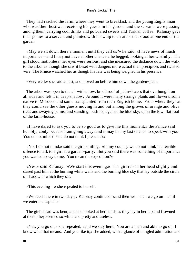They had reached the farm, where they went to breakfast, and the young Englishman who was their host was receiving his guests in his garden, and the servants were passing among them, carrying cool drinks and powdered sweets and Turkish coffee. Kalonay gave their ponies to a servant and pointed with his whip to an arbor that stood at one end of the garden.

 «May we sit down there a moment until they call us?» he said. «I have news of much importance – and I may not have another chance,» he begged, looking at her wistfully. The girl stood motionless; her eyes were serious, and she measured the distance down the walk to the arbor as though she saw it beset with dangers more actual than precipices and twisted wire. The Prince watched her as though his fate was being weighed in his presence.

«Very well,» she said at last, and moved on before him down the garden−path.

 The arbor was open to the air with a low, broad roof of palm−leaves that overhung it on all sides and left it in deep shadow. Around it were many strange plants and flowers, some native to Morocco and some transplanted from their English home. From where they sat they could see the other guests moving in and out among the groves of orange and olive trees and swaying palms, and standing, outlined against the blue sky, upon the low, flat roof of the farm−house.

 «I have dared to ask you to be so good as to give me this moment,» the Prince said humbly, «only because I am going away, and it may be my last chance to speak with you. You do not mind? You do not think I presume?»

 «No, I do not mind,» said the girl, smiling. «In my country we do not think it a terrible offence to talk to a girl at a garden−party. But you said there was something of importance you wanted to say to me. You mean the expedition?»

 «Yes,» said Kalonay. «We start this evening.» The girl raised her head slightly and stared past him at the burning white walls and the burning blue sky that lay outside the circle of shadow in which they sat.

«This evening  $-\infty$  she repeated to herself.

 «We reach there in two days,» Kalonay continued; «and then we – then we go on – until we enter the capital.»

 The girl's head was bent, and she looked at her hands as they lay in her lap and frowned at them, they seemed so white and pretty and useless.

 «Yes, you go on,» she repeated, «and we stay here. You are a man and able to go on. I know what that means. And you like it,» she added, with a glance of mingled admiration and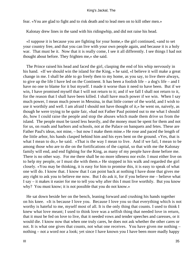fear. «You are glad to fight and to risk death and to lead men on to kill other men.»

Kalonay drew lines in the sand with his ridingwhip, and did not raise his head.

 «I suppose it is because you are fighting for your home,» the girl continued, «and to set your country free, and that you can live with your own people again, and because it is a holy war. That must be it. Now that it is really come, I see it all differently. I see things I had not thought about before. They frighten me,» she said.

 The Prince raised his head and faced the girl, clasping the end of his whip nervously in his hand. «If we should win the island for the King, » he said, «I believe it will make a great change in me. I shall be able to go freely then to my home, as you say, to live there always, to give up the life I have led on the Continent. It has been a foolish life – a dog's life – and I have no one to blame for it but myself. I made it worse than it need to have been. But if we win, I have promised myself that I will not return to it; and if we fall I shall not return to it, for the reason that I shall have been killed. I shall have much power if we win. When I say much power, I mean much power in Messina, in that little corner of the world, and I wish to use it worthily and well. I am afraid I should not have thought of it,» he went on, naively, as though he were trying to be quite fair, «had not Father Paul pointed out to me what I should do, how I could raise the people and stop the abuses which made them drive us from the island. The people must be taxed less heavily, and the money must be spent for them and not for us, on roads and harbors and schools, not at the Palace on banquets and fetes. These are Father Paul's ideas, not mine, – but now I make them mine.» He rose and paced the length of the little arbor, his hands clasped behind him and his eyes bent on the ground. «Yes, that is what I mean to do,» he said. «That is the way I mean to live. And if we fail, I mean to be among those who are to die on the fortifications of the capital, so that with me the Kalonay family will end, and end fighting for the King, as many of my people have done before me. There is no other way. For me there shall be no more idleness nor exile. I must either live on to help my people, or I must die with them.» He stopped in his walk and regarded the girl closely. «You may be thinking, it is easy for him to promise this, it is easy to speak of what one will do. I know that. I know that I can point back at nothing I have done that gives me any right to ask you to believe me now. But I do ask it, for if you believe me – believe what I say – it makes it easier for me to tell you why after this I must live worthily. But you know why? You must know; it is not possible that you do not know.»

 He sat down beside her on the bench, leaning forward and crushing his hands together on his knee. «It is because I love you. Because I love you so that everything which is not worthy is hateful to me, myself most of all. It is the only thing that counts. I used to think I knew what love meant; I used to think love was a selfish thing that needed love in return, that it must be fed on love to live, that it needed vows and tender speeches and caresses, or it would die. I know now that when one truly cares, he does not ask whether the other cares or not. It is what one gives that counts, not what one receives. You have given me nothing – nothing – not a word nor a look; yet since I have known you I have been more madly happy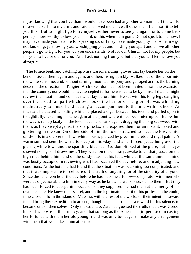in just knowing that you live than I would have been had any other woman in all the world thrown herself into my arms and said she loved me above all other men. I am not fit to tell you this. But to−night I go to try myself, either never to see you again, or to come back perhaps more worthy to love you. Think of this when I am gone. Do not speak to me now. I may have made you hate me for speaking so, or I may have made you pity me; so let me go not knowing, just loving you, worshipping you, and holding you apart and above all other people. I go to fight for you, do you understand? Not for our Church, not for my people, but for you, to live or die for you. And I ask nothing from you but that you will let me love you always.»

 The Prince bent, and catching up Miss Carson's riding−gloves that lay beside her on the bench, kissed them again and again, and then, rising quickly, walked out of the arbor into the white sunshine, and, without turning, mounted his pony and galloped across the burning desert in the direction of Tangier. Archie Gordon had not been invited to join the excursion into the country, nor would he have accepted it, for he wished to be by himself that he might review the situation and consider what lay before him. He sat with his long legs dangling over the broad rampart which overlooks the harbor of Tangier. He was whistling meditatively to himself and beating an accompaniment to the tune with his heels. At intervals he ceased whistling while he placed a cigar between his teeth and pulled upon it thoughtfully, resuming his tune again at the point where it had been interrupted. Below him the waves ran up lazily on the level beach and sank again, dragging the long sea−weed with them, as they swept against the sharp rocks, and exposed them for an instant, naked and glistening in the sun. On either side of him the town stretched to meet the low, white, sand−hills in a crescent of low, white houses pierced by green minarets and royal palms. A warm sun had sent the world to sleep at mid−day, and an enforced peace hung over the glaring white town and the sparkling blue sea. Gordon blinked at the glare, but his eyes showed no signs of drowsiness. They were, on the contrary, awake to all that passed on the high road behind him, and on the sandy beach at his feet, while at the same time his mind was busily occupied in reviewing what had occurred the day before, and in adjusting new conditions. At the hotel he had found that the situation was becoming too complicated, and that it was impossible to feel sure of the truth of anything, or of the sincerity of anyone. Since the luncheon hour the day before he had become a fellow−conspirator with men who were as objectionable to him in every way as he knew he was obnoxious to them. But they had been forced to accept him because, so they supposed, he had them at the mercy of his own pleasure. He knew their secret, and in the legitimate pursuit of his profession he could, if he chose, inform the island of Messina, with the rest of the world, of their intention toward it, and bring their expedition to an end, though he had chosen, as a reward for his silence, to become one of themselves. Only the Countess Zara had guessed the truth, that it was Gordon himself who was at their mercy, and that so long as the American girl persisted in casting her fortunes with them her old young friend was only too eager to make any arrangement with them that would keep him at her side.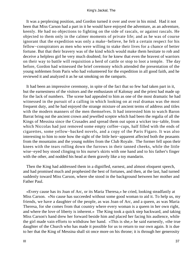It was a perplexing position, and Gordon turned it over and over in his mind. Had it not been that Miss Carson had a part in it he would have enjoyed the adventure, as an adventure, keenly. He had no objections to fighting on the side of rascals, or against rascals. He objected to them only in the calmer moments of private life; and as he was of course ignorant that the expedition was only a make−believe, he felt a certain respect for his fellow−conspirators as men who were willing to stake their lives for a chance of better fortune. But that their bravery was of the kind which would make them hesitate to rob and deceive a helpless girl he very much doubted; for he knew that even the bravest of warriors on their way to battle will requisition a herd of cattle or stop to loot a temple. The day before, Gordon had witnessed the brief ceremony which attended the presentation of the young noblemen from Paris who had volunteered for the expedition in all good faith, and he reviewed it and analyzed it as he sat smoking on the ramparts.

 It had been an impressive ceremony, in spite of the fact that so few had taken part in it, but the earnestness of the visitors and the enthusiasm of Kalonay and the priest had made up for the lack of numbers. The scene had appealed to him as one of the most dramatic he had witnessed in the pursuit of a calling in which looking on at real dramas was the most frequent duty, and he had enjoyed the strange mixture of ancient terms of address and titles with the modern manners of the men themselves. It had interested him to watch Baron Barrat bring out the ancient crown and jewelled sceptre which had been the regalia of all the Kings of Messina since the Crusades and spread them out upon a wicker tea−table, from which Niccolas had just removed some empty coffee−cups, half filled with the ends of cigarettes, some yellow−backed novels, and a copy of the Paris Figaro. It was also interesting to him to note how the sight of the little heir−apparent affected both the peasants from the mountains and the young nobles from the Club Royale. The former fell upon their knees with the tears rolling down the furrows in their tanned cheeks, while the little wise−eyed boy stood clinging to his nurse's skirts with one hand and to his father's finger with the other, and nodded his head at them gravely like a toy mandarin.

 Then the King had addressed them in a dignifled, earnest, and almost eloquent speech, and had promised much and prophesied the best of fortunes, and then, at the last, had turned suddenly toward Miss Carson, where she stood in the background between her mother and Father Paul.

 «Every cause has its Joan of Arc, or its Maria Theresa,» he cried, looking steadfastly at Miss Carson. «No cause has succeeded without some good woman to aid it. To help us, my friends, we have a daughter of the people, as was Joan of Arc, and a queen, as was Maria Theresa, for she comes from that country where every woman is a queen in her own right, and where the love of liberty is inherent.» The King took a quick step backward, and taking Miss Carson's hand drew her forward beside him and placed her facing his audience, while the girl made vain efforts to withdraw her hand. «This is she,» he said earnestly, «the true daughter of the Church who has made it possible for us to return to our own again. It is due to her that the King of Messina shall sit once more on his throne; it is through her generosity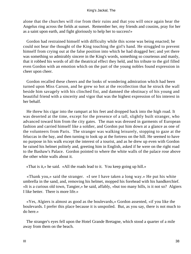alone that the churches will rise from their ruins and that you will once again hear the Angelus ring across the fields at sunset. Remember her, my friends and cousins, pray for her as a saint upon earth, and fight gloriously to help her to success!»

 Gordon had restrained himself with difficulty while this scene was being enacted; he could not bear the thought of the King touching the girl's hand. He struggled to prevent himself from crying out at the false position into which he had dragged her; and yet there was something so admirably sincere in the King's words, something so courteous and manly, that it robbed his words of all the theatrical effect they held, and his tribute to the girl filled even Gordon with an emotion which on the part of the young nobles found expression in cheer upon cheer.

 Gordon recalled these cheers and the looks of wondering admiration which had been turned upon Miss Carson, and he grew so hot at the recollection that he struck the wall beside him savagely with his clinched fist, and damned the obstinacy of his young and beautiful friend with a sincerity and vigor that was the highest expression of his interest in her behalf.

 He threw his cigar into the rampart at his feet and dropped back into the high road. It was deserted at the time, except for the presence of a tall, slightly built stranger, who advanced toward him from the city gates. The man was dressed in garments of European fashion and carried himself like a soldier, and Gordon put him down at a glance as one of the volunteers from Paris. The stranger was walking leisurely, stopping to gaze at the feluccas in the bay, and then turning to look up at the fortress on the hill. He seemed to have no purpose in his walk except the interest of a tourist, and as he drew up even with Gordon he raised his helmet politely and, greeting him in English, asked if he were on the right road to the Bashaw's Palace. Gordon pointed to where the white walls of the palace rose above the other white walls about it.

«That is it,» he said. «All the roads lead to it. You keep going up hill.»

 «Thank you,» said the stranger. «I see I have taken a long way.» He put his white umbrella in the sand, and, removing his helmet, mopped his forehead with his handkerchief. «It is a curious old town, Tangier,» he said, affably, «but too many hills, is it not so? Algiers I like better. There is more life.»

 «Yes, Algiers is almost as good as the boulevards,» Gordon assented, «if you like the boulevards. I prefer this place because it is unspoiled. But, as you say, there is not much to do here.»

 The stranger's eyes fell upon the Hotel Grande Bretagne, which stood a quarter of a mile away from them on the beach.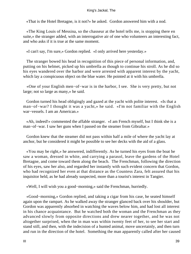«That is the Hotel Bretagne, is it not?» he asked. Gordon answered him with a nod.

 «The King Louis of Messina, so the chasseur at the hotel tells me, is stopping there en suite,» the stranger added, with an interrogative air of one who volunteers an interesting fact, and who asks if it is true at the same moment.

«I can't say, I'm sure,» Gordon replied. «I only arrived here yesterday.»

 The stranger bowed his head in recognition of this piece of personal information, and, putting on his helmet, picked up his umbrella as though to continue his stroll. As he did so his eyes wandered over the harbor and were arrested with apparent interest by the yacht, which lay a conspicuous object on the blue water. He pointed at it with his umbrella.

 «One of your English men−of−war is in the harbor, I see. She is very pretty, but not large; not so large as many,» he said.

 Gordon turned his head obligingly and gazed at the yacht with polite interest. «Is that a man−of−war? I thought it was a yacht,» he said. «I'm not familiar with the English war−vessels. I am an American.»

 «Ah, indeed!» commented the affable stranger. «I am French myself, but I think she is a man−of−war. I saw her guns when I passed on the steamer from Gibraltar.»

 Gordon knew that the steamer did not pass within half a mile of where the yacht lay at anchor, but he considered it might be possible to see her decks with the aid of a glass.

 «You may be right,» he answered, indifferently. As he turned his eyes from the boat he saw a woman, dressed in white, and carrying a parasol, leave the gardens of the Hotel Bretagne, and come toward them along the beach. The Frenchman, following the direction of his eyes, saw her also, and regarded her instantly with such evident concern that Gordon, who had recognized her even at that distance as the Countess Zara, felt assured that his inquisitor held, as he had already suspected, more than a tourist's interest in Tangier.

«Well, I will wish you a good−morning,» said the Frenchman, hurriedly.

 «Good−morning,» Gordon replied, and taking a cigar from his case, he seated himself again upon the rampart. As he walked away the stranger glanced back over his shoulder, but Gordon was apparently absorbed in watching the waves below him, and had lost all interest in his chance acquaintance. But he watched both the woman and the Frenchman as they advanced slowly from opposite directions and drew nearer together, and he was not altogether surprised, when the in man was within twenty feet of her, to see her start and stand still, and then, with the indecision of a hunted animal, move uncertainly, and then turn and run in the direction of the hotel. Something the man apparently called after her caused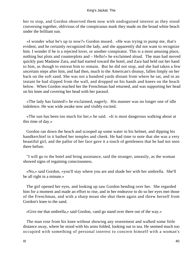her to stop, and Gordon observed them now with undisguised interest as they stood conversing together, oblivious of the conspicuous mark they made on the broad white beach under the brilliant sun.

 «I wonder what he's up to now?» Gordon mused. «He was trying to pump me, that's evident, and he certainly recognized the lady, and she apparently did not want to recognize him. I wonder if he is a rejected lover, or another conspirator. This is a most amusing place, nothing but plots and counterplots and – Hello!» he exclaimed aloud. The man had moved quickly past Madame Zara, and had started toward the hotel, and Zara had held out her hand to him, as though to entreat him to remain. But he did not stop, and she had taken a few uncertain steps after him, and had then, much to the American's dismay, fallen limply on her back on the soft sand. She was not a hundred yards distant from where he sat, and in an instant he had slipped from the wall, and dropped on his hands and knees on the beach below. When Gordon reached her the Frenchman had returned, and was supporting her head on his knee and covering her head with her parasol.

 «The lady has fainted!» he exclaimed, eagerly. His manner was no longer one of idle indolence. He was wide awake now and visibly excited.

 «The sun has been too much for her,» he said. «It is most dangerous walking about at this time of day.»

 Gordon ran down the beach and scooped up some water in his helmet, and dipping his handkerchief in it bathed her temples and cheek. He had time to note that she was a very beautiful girl, and the pallor of her face gave it a touch of gentleness that he had not seen there before.

 "I will go to the hotel and bring assistance, said the stranger, uneasily, as the woman showed signs of regaining consciousness.

 «No,» said Gordon, «you'll stay where you are and shade her with her umbrella. She'll be all right in a minute.»

 The girl opened her eyes, and looking up saw Gordon bending over her. She regarded him for a moment and made an effort to rise, and in her endeavor to do so her eyes met those of the Frenchman, and with a sharp moan she shut them again and threw herself from Gordon's knee to the sand.

«Give me that umbrella,» said Gordon, «and go stand over there out of the way.»

 The man rose from his knee without showing any resentment and walked some little distance away, where he stood with his arms folded, looking out to sea. He seemed much too occupied with something of personal interest to concern himself with a woman's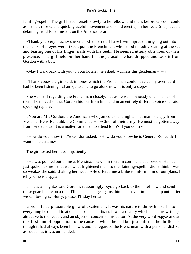fainting−spell. The girl lifted herself slowly to her elbow, and then, before Gordon could assist her, rose with a quick, graceful movement and stood erect upon her feet. She placed a detaining hand for an instant on the American's arm.

 «Thank you very much,» she said. «I am afraid I have been imprudent in going out into the sun.» Her eyes were fixed upon the Frenchman, who stood moodily staring at the sea and tearing one of his finger−nails with his teeth. He seemed utterly oblivious of their presence. The girl held out her hand for the parasol she had dropped and took it from Gordon with a bow.

«May I walk back with you to your hotel?» he asked. «Unless this gentleman  $-\rightarrow$ 

 «Thank you,» the girl said, in tones which the Frenchman could have easily overheard had he been listening. «I am quite able to go alone now; it is only a step.»

 She was still regarding the Frenchman closely; but as he was obviously unconscious of them she moved so that Gordon hid her from him, and in an entirely different voice she said, speaking rapidly, –

 «You are Mr. Gordon, the American who joined us last night. That man is a spy from Messina. He is Renauld, the Commander−in−Chief of their army. He must be gotten away from here at once. It is a matter for a man to attend to. Will you do it?»

 «How do you know this?» Gordon asked. «How do you know he is General Renauld? I want to be certain.»

The girl tossed her head impatiently.

 «He was pointed out to me at Messina. I saw him there in command at a review. He has just spoken to me – that was what frightened me into that fainting−spell. I didn't think I was so weak,» she said, shaking her head. «He offered me a bribe to inform him of our plans. I tell you he is a spy.»

 «That's all right,» said Gordon, reassuringly; «you go back to the hotel now and send those guards here on a run. I'll make a charge against him and have him locked up until after we sail to−night. Hurry, please; I'll stay here.»

 Gordon felt a pleasurable glow of excitement. It was his nature to throw himself into everything he did and to at once become a partisan. It was a quality which made his writings attractive to the reader, and an object of concern to his editor. At the very word «spy,» and at this first hint of opposition to the cause in which he had but just enlisted, he thrilled as though it had always been his own, and he regarded the Frenchman with a personal dislike as sudden as it was unfounded.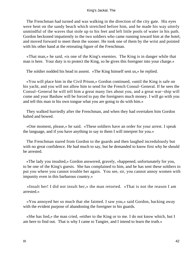The Frenchman had turned and was walking in the direction of the city gate. His eyes were bent on the sandy beach which stretched before him, and he made his way utterly unmindful of the waves that stole up to his feet and left little pools of water in his path. Gordon beckoned impatiently to the two soldiers who came running toward him at the hotel, and moved forward to meet them the sooner. He took one of them by the wrist and pointed with his other hand at the retreating figure of the Frenchman.

 «That man,» he said, «is one of the King's enemies. The King is in danger while that man is here. Your duty is to protect the King, so he gives this foreigner into your charge.»

The soldier nodded his head in assent. «The King himself sent us,» he replied.

 «You will place him in the Civil Prison,» Gordon continued, «until the King is safe on his yacht, and you will not allow him to send for the French Consul−General. If he sees the Consul−General he will tell him a great many lies about you, and a great war−ship will come and your Bashaw will be forced to pay the foreigners much money. I will go with you and tell this man in his own tongue what you are going to do with him.»

 They walked hurriedly after the Frenchman, and when they had overtaken him Gordon halted and bowed.

 «One moment, please,» he said. «These soldiers have an order for your arrest. I speak the language, and if you have anything to say to them I will interpret for you.»

 The Frenchman stared from Gordon to the guards and then laughed incredulously but with no great confidence. He had much to say, but he demanded to know first why he should be arrested.

 «The lady you insulted,» Gordon answered, gravely, «happened, unfortunately for you, to be one of the King's guests. She has complained to him, and he has sent these soldiers to put you where you cannot trouble her again. You see, sir, you cannot annoy women with impunity even in this barbarous country.»

 «Insult her! I did not insult her,» the man retorted. «That is not the reason I am arrested.»

 «You annoyed her so much that she fainted. I saw you,» said Gordon, backing away with the evident purpose of abandoning the foreigner to his guards.

 «She has lied,» the man cried, «either to the King or to me. I do not know which, but I am here to find out. That is why I came to Tangier, and I intend to learn the truth.»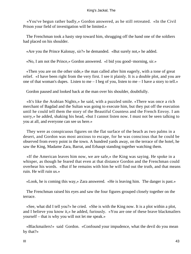«You've begun rather badly,» Gordon answered, as he still retreated. «In the Civil Prison your field of investigation will be limited.»

 The Frenchman took a hasty step toward him, shrugging off the hand one of the soldiers had placed on his shoulder.

«Are you the Prince Kalonay, sir?» he demanded. «But surely not,» he added.

«No, I am not the Prince,» Gordon answered. «I bid you good−morning, sir.»

 «Then you are on the other side,» the man called after him eagerly, with a tone of great relief. «I have been right from the very first. I see it plainly. It is a double plot, and you are one of that woman's dupes. Listen to me – I beg of you, listen to me – I have a story to tell.»

Gordon paused and looked back at the man over his shoulder, doubtfully.

 «It's like the Arabian Nights,» he said, with a puzzled smile. «There was once a rich merchant of Bagdad and the Sultan was going to execute him, but they put off the execution until he could tell them the story of the Beautiful Countess and the French Envoy. I am sorry,» he added, shaking his head, «but I cannot listen now. I must not be seen talking to you at all, and everyone can see us here.»

 They were as conspicuous figures on the flat surface of the beach as two palms in a desert, and Gordon was most anxious to escape, for he was conscious that he could be observed from every point in the town. A hundred yards away, on the terrace of the hotel, he saw the King, Madame Zara, Barrat, and Erhaupt standing together watching them.

 «If the American leaves him now, we are safe,» the King was saying. He spoke in a whisper, as though he feared that even at that distance Gordon and the Frenchman could overhear his words. «But if he remains with him he will find out the truth, and that means ruin. He will ruin us.»

«Look, he is coming this way,» Zara answered. «He is leaving him. The danger is past.»

 The Frenchman raised his eyes and saw the four figures grouped closely together on the terrace.

 «See, what did I tell you?» he cried. «She is with the King now. It is a plot within a plot, and I believe you know it,» he added, furiously. «You are one of these brave blackmailers yourself – that is why you will not let me speak.»

 «Blackmailers!» said Gordon. «Confound your impudence, what the devil do you mean by that?»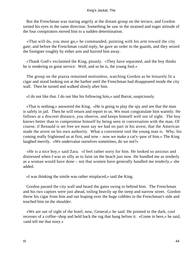But the Frenchman was staring angrily at the distant group on the terrace, and Gordon turned his eyes in the same direction. Something he saw in the strained and eager attitude of the four conspirators moved him to a sudden determination.

 «That will do, you must go,» he commanded, pointing with his arm toward the city gate; and before the Frenchman could reply, he gave an order to the guards, and they seized the foreigner roughly by either arm and hurried him away.

 «Thank God!» exclaimed the King, piously. «They have separated, and the boy thinks he is rendering us great service. Well, and so he is, the young fool.»

 The group on the piazza remained motionless, watching Gordon as he leisurely lit a cigar and stood looking out at the harbor until the Frenchman had disappeared inside the city wall. Then he turned and walked slowly after him.

«I do not like that. I do not like his following him,» said Barrat, suspiciously.

 «That is nothing,» answered the King. «He is going to play the spy and see that the man is safely in jail. Then he will return and report to us. We must congratulate him warmly. He follows at a discreet distance, you observe, and keeps himself well out of sight. The boy knows better than to compromise himself by being seen in conversation with the man. Of course, if Renauld is set free we must say we had no part in his arrest, that the American made the arrest on his own authority. What a convenient tool the young man is. Why, his coming really frightened us at first, and now – now we make a cat's−paw of him.» The King laughed merrily. «We undervalue ourselves sometimes, do we not?»

 «He is a nice boy,» said Zara. «I feel rather sorry for him. He looked so anxious and distressed when I was so silly as to faint on the beach just now. He handled me as tenderly as a woman would have done – not that women have generally handled me tenderly,» she added.

«I was thinking the simile was rather misplaced,» said the King.

 Gordon passed the city wall and heard the gates swing to behind him. The Frenchman and his two captors were just ahead, toiling heavily up the steep and narrow street. Gordon threw his cigar from him and ran leaping over the huge cobbles to the Frenchman's side and touched him on the shoulder.

 «We are out of sight of the hotel, now, General,» he said. He pointed to the dark, cool recesses of a coffee−shop and held back the rug that hung before it. «Come in here,» he said, «and tell me that story.»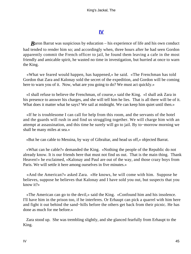# **[IV](#page-63-0)**

<span id="page-45-0"></span>*Baron Barrat was suspicious by education – his experience of life and his own conduct* had tended to render him so; and accordingly when, three hours after he had seen Gordon apparently commit the French officer to jail, he found them leaving a cafe in the most friendly and amicable spirit, he wasted no time in investigation, but hurried at once to warn the King.

 «What we feared would happen, has happened,» he said. «The Frenchman has told Gordon that Zara and Kalonay sold the secret of the expedition, and Gordon will be coming here to warn you of it. Now, what are you going to do? We must act quickly.»

 «I shall refuse to believe the Frenchman, of course,» said the King. «I shall ask Zara in his presence to answer his charges, and she will tell him he lies. That is all there will be of it. What does it matter what he says? We sail at midnight. We can keep him quiet until then.»

 «If he is troublesome I can call for help from this room, and the servants of the hotel and the guards will rush in and find us struggling together. We will charge him with an attempt at assassination, and this time he surely will go to jail. By to−morrow morning we shall be many miles at sea.»

«But he can cable to Messina, by way of Gibraltar, and head us off,» objected Barrat.

 «What can he cable?» demanded the King. «Nothing the people of the Republic do not already know. It is our friends here that must not find us out. That is the main thing. Thank Heaven!» he exclaimed, «Kalonay and Paul are out of the way, and those crazy boys from Paris. We will settle it here among ourselves in five minutes.»

 «And the American?» asked Zara. «He knows, he will come with him. Suppose he believes, suppose he believes that Kalonay and I have sold you out, but suspects that you know it?»

 «The American can go to the devil,» said the King. «Confound him and his insolence. I'll have him in the prison too, if he interferes. Or Erhaupt can pick a quarrel with him here and fight it out behind the sand−hills before the others get back from their picnic. He has done as much for me before.»

 Zara stood up. She was trembling slightly, and she glanced fearfully from Erhaupt to the King.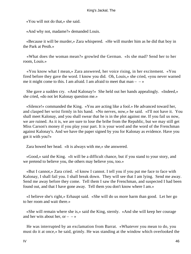«You will not do that,» she said.

«And why not, madame?» demanded Louis.

 «Because it will be murder,» Zara whispered. «He will murder him as he did that boy in the Park at Pesth.»

 «What does the woman mean?» growled the German. «Is she mad? Send her to her room, Louis.»

 «You know what I mean,» Zara answered, her voice rising, in her excitement. «You fired before they gave the word. I know you did. Oh, Louis,» she cried, «you never warned me it might come to this. I am afraid. I am afraid to meet that man  $- \rightarrow \infty$ 

 She gave a sudden cry. «And Kalonay!» She held out her hands appealingly. «Indeed,» she cried, «do not let Kalonay question me.»

 «Silence!» commanded the King. «You are acting like a fool.» He advanced toward her, and clasped her wrist firmly in his hand. «No nerves, now,» he said. «I'll not have it. You shall meet Kalonay, and you shall swear that he is in the plot against me. If you fail us now, we are ruined. As it is, we are sure to lose the bribe from the Republic, but we may still get Miss Carson's money if you play your part. It is your word and the word of the Frenchman against Kalonay's. And we have the paper signed by you for Kalonay as evidence. Have you got it with you?»

Zara bowed her head. «It is always with me,» she answered.

 «Good,» said the King. «It will be a difficult chance, but if you stand to your story, and we pretend to believe you, the others may believe you, too.»

 «But I cannot,» Zara cried. «I know I cannot. I tell you if you put me face to face with Kalonay, I shall fail you. I shall break down. They will see that I am lying. Send me away. Send me away before they come. Tell them I saw the Frenchman, and suspected I had been found out, and that I have gone away. Tell them you don't know where I am.»

 «I believe she's right,» Erhaupt said. «She will do us more harm than good. Let her go to her room and wait there.»

 «She will remain where she is,» said the King, sternly. «And she will keep her courage and her wits about her, or  $-$  – »

 He was interrupted by an exclamation from Barrat. «Whatever you mean to do, you must do it at once,» he said, grimly. He was standing at the window which overlooked the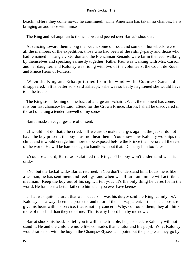beach. «Here they come now,» he continued. «The American has taken no chances, he is bringing an audience with him.»

The King and Erhaupt ran to the window, and peered over Barrat's shoulder.

 Advancing toward them along the beach, some on foot, and some on horseback, were all the members of the expedition, those who had been of the riding−party and those who had remained in Tangier. Gordon and the Frenchman Renauld were far in the lead, walking by themselves and speaking earnestly together; Father Paul was walking with Mrs. Carson and her daughter, and Kalonay was riding with two of the volunteers, the Count de Rouen and Prince Henri of Poitiers.

 When the King and Erhaupt turned from the window the Countess Zara had disappeared. «It is better so,» said Erhaupt; «she was so badly frightened she would have told the truth.»

 The King stood leaning on the back of a large arm−chair. «Well, the moment has come, it is our last chance,» he said. «Send for the Crown Prince, Baron. I shall be discovered in the act of taking a tender farewell of my son.»

Barrat made an eager gesture of dissent.

 «I would not do that,» he cried. «If we are to make charges against the jackal do not have the boy present; the boy must not hear them. You know how Kalonay worships the child, and it would enrage him more to be exposed before the Prince than before all the rest of the world. He will be hard enough to handle without that. Don't try him too far.»

 «You are absurd, Barrat,» exclaimed the King. «The boy won't understand what is said.»

 «No, but the Jackal will,» Barrat returned. «You don't understand him, Louis, he is like a woman; he has sentiment and feelings, and when we all turn on him he will act like a madman. Keep the boy out of his sight, I tell you. It's the only thing he cares for in the world. He has been a better father to him than you ever have been.»

 «That was quite natural; that was because it was his duty,» said the King, calmly. «A Kalonay has always been the protector and tutor of the heir−apparent. If this one chooses to give his heart with his service, that is not my concern. Why, confound them, they all think more of the child than they do of me. That is why I need him by me now.»

 Barrat shook his head. «I tell you it will make trouble, he persisted. »Kalonay will not stand it. He and the child are more like comrades than a tutor and his pupil. Why, Kalonay would rather sit with the boy in the Champs−Elysees and point out the people as they go by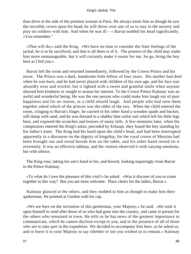than drive at the side of the prettiest woman in Paris. He always treats him as though he saw the invisible crown upon his head; he will throw over any of us to stay in the nursery and play tin soldiers with him. And when he was ill  $-\alpha$  Barrat nodded his head significantly. »You remember."

 «That will do,» said the King. «We have no time to consider the finer feelings of the jackal; he is to be sacrificed, and that is all there is of it. The prsence of the child may make him more unmanageable, but it will certainly make it easier for me. So go, bring the boy here as I bid you.»

 Barrat left the room and returned immediately, followed by the Crown Prince and his nurse. The Prince was a dark, handsome little fellow of four years. His mother had died when he was born, and he had never played with children of his own age, and his face was absurdly wise and wistful; but it lighted with a sweet and grateful smile when anyone showed him kindness or sought to arouse his interest. To the Crown Prince Kalonay was an awful and wonderful being. He was the one person who could make him laugh out of pure happiness and for no reason, as a child should laugh. And people who had seen them together asked which of the princes was the older of the two. When the child entered the room, clinging to Barrat's finger, he carried in his other hand a wooden spade and bucket, still damp with sand, and he was dressed in a shabby blue sailor suit which left his little legs bare, and exposed the scratches and bruises of many falls. A few moments later, when the conspirators entered the King's salon, preceded by Erhaupt, they found the boy standing by his father's knee. The King had his hand upon the child's head, and had been interrupted apparently in a discourse on the dignity of kingship, for the royal crown of Messina had been brought out and stood beside him on the table, and his other hand rested on it reverently. It was an effective tableau, and the visitors observed it with varying emotions, but with silence.

 The King rose, taking his son's hand in his, and bowed, looking inquiringly from Barrat to the Prince Kalonay.

 «To what do I owe the pleasure of this visit?» he asked. «Was it discreet of you to come together in this way? But you are most welcome. Place chairs for the ladies, Barrat.»

 Kalonay glanced at the others, and they nodded to him as though to make him their spokesman. He pointed at Gordon with his cap.

 «We are here on the invitation of this gentleman, your Majesty,» he said. «He took it upon himself to send after those of us who had gone into the country, and came in person for the others who remained in town. He tells us he has news of the greatest importance to communicate, which he cannot disclose except to you, and in the presence of all of those who are to take part in the expedition. We decided to accompany him here, as he asked us, and to leave it to your Majesty to say whether or not you wished us to remain.» Kalonay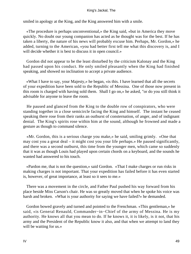smiled in apology at the King, and the King answered him with a smile.

 «The procedure is perhaps unconventional,» the King said, «but in America they move quickly. No doubt our young companion has acted as he thought was for the best. If he has taken a liberty, the nature of his news will probably excuse him. Perhaps, Mr. Gordon,» he added, turning to the American, «you had better first tell me what this discovery is, and I will decide whether it is best to discuss it in open council.»

 Gordon did not appear to be the least disturbed by the criticism Kalonay and the King had passed upon his conduct. He only smiled pleasantly when the King had finished speaking, and showed no inclination to accept a private audience.

 «What I have to say, your Majesty,» he began, «is this. I have learned that all the secrets of your expedition have been sold to the Republic of Messina. One of those now present in this room is charged with having sold them. Shall I go on,» he asked, "or do you still think it advisable for anyone to leave the room.

 He paused and glanced from the King to the double row of conspirators, who were standing together in a close semicircle facing the King and himself. The instant he ceased speaking there rose from their ranks an outburst of consternation, of anger, and of indignant denial. The King's spirits rose within him at the sound, although he frowned and made a gesture as though to command silence.

 «Mr. Gordon, this is a serious charge you make,» he said, smiling grimly. «One that may cost you a great deal – it might cost you your life perhaps.» He paused significantly, and there was a second outburst, this time from the younger men, which came so suddenly that it was as though Louis had played upon certain chords on a keyboard, and the sounds he wanted had answered to his touch.

 «Pardon me, that is not the question,» said Gordon. «That I make charges or run risks in making charges is not important. That your expedition has failed before it has even started is, however, of great importance, at least so it sees to me.»

 There was a movement in the circle, and Father Paul pushed his way forward from his place beside Miss Carson's chair. He was so greatly moved that when he spoke his voice was harsh and broken. «What is your authority for saying we have failed?» he demanded.

 Gordon bowed gravely and turned and pointed to the Frenchman. «This gentleman,» he said, «is General Renauld, Commander−in−Chief of the army of Messina. He is my authority. He knows all that you mean to do. If he knows it, it is likely, is it not, that his army and the President of the Republic know it also, and that when we attempt to land they will be waiting for us.»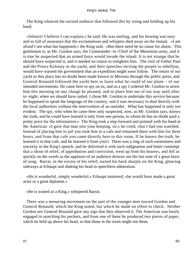The King silenced the second outburst that followed this by rising and holding up his hand.

 «Silence! I believe I can explain,» he said. He was smiling, and his bearing was easy and so full of assurance that the exclamations and whispers died away on the instant. «I am afraid I see what has happened,» the King said. «But there need be no cause for alarm. This gentleman is, as Mr. Gordon says, the Commander−in−Chief of the Messinian army, and it is true he suspected that an armed force would invade the island. It is not strange that he should have suspected it, and it needed no traitor to enlighten him. The visit of Father Paul and the Prince Kalonay in the yacht, and their speeches inciting the people to rebellion, would have warned the government that an expedition might soon follow. The return of our yacht to this place has no doubt been made known in Messina through the public press, and General Renauld followed the yacht here to learn what he could of our plans – of our intended movements. He came here to spy on us, and as a spy I ordered Mr. Gordon to arrest him this morning on any charge he pleased, and to place him out of our way until after to−night, when we should have sailed. I chose Mr. Gordon to undertake this service because he happened to speak the language of the country, and it was necessary to deal directly with the local authorities without the intervention of an outsider. What has happened is only too evident. The spy, who when he came here only suspected, now, as Mr. Gordon says, knows the truth, and he could have learned it only from one person, to whom he has no doubt paid a pretty price for the information.» The King took a step forward and pointed with his hand at the American. «I gave that man into your keeping, sir,» he cried, «but I had you watched. Instead of placing him in jail you took him to a cafe and remained there with him for three hours, and from that cafe you came directly here to this room. If he knows the truth, he learned it in that cafe, and he learned it from you!» There was a ring of such earnestness and sincerity in the King's speech, and he delivered it with such indignation and bitter contempt that a shout of relief, of approbation and conviction, went up from his hearers, and fell as quickly on the words as the applause of an audience drowns out the last note of a great burst of song. Barrat, in the excess of his relief, turned his back sharply on the King, glancing sideways at Erhaupt and shaking his head in speechless admiration.

 «He is wonderful, simply wonderful,» Erhaupt muttered; «he would have made a great actor or a great diplomat.»

«He is wasted as a King,» whispered Barrat.

 There was a menacing movement on the part of the younger men toward Gordon and General Renauld, which the King noted, but which he made no effort to check. Neither Gordon nor General Renauld gave any sign that they observed it. The American was busily engaged in searching his pockets, and from one of these he produced two pieces of paper, which he held up above his head, so that those in the room might see them.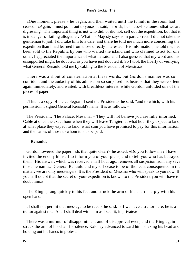«One moment, please,» he began, and then waited until the tumult in the room had ceased. «Again, I must point out to you,» he said, in brisk, business−like tones, «that we are digressing. The important thing is not who did, or did not, sell out the expedition, but that it is in danger of failing altogether. What his Majesty says is in part correct. I did not take this gentleman to jail; I did take him to a cafe, and there he told me much more concerning the expedition than I had learned from those directly interested. His information, he told me, had been sold to the Republic by one who visited the island and who claimed to act for one other. I appreciated the importance of what he said, and I also guessed that my word and his unsupported might be doubted, as you have just doubted it. So I took the liberty of verifying what General Renauld told me by cabling to the President of Messina.»

 There was a shout of consternation at these words, but Gordon's manner was so confident and the audacity of his admission so surprised his hearers that they were silent again immediately, and waited, with breathless interest, while Gordon unfolded one of the pieces of paper.

 «This is a copy of the cablegram I sent the President,» he said, "and to which, with his permission, I signed General Renauld's name. It is as follows: –

 The President. The Palace, Messina. – They will not believe you are fully informed. Cable at once the exact hour when they will leave Tangier, at what hour they expect to land, at what place they expect to land, what sum you have promised to pay for this information, and the names of those to whom it is to be paid.

### **Renauld.**

 Gordon lowered the paper. «Is that quite clear?» he asked. «Do you follow me? I have invited the enemy himself to inform you of your plans, and to tell you who has betrayed them. His answer, which was received a half hour ago, removes all suspicion from any save those he names. General Renauld and myself cease to be of the least consequence in the matter; we are only messengers. It is the President of Messina who will speak to you now. If you still doubt that the secret of your expedition is known to the President you will have to doubt him.»

 The King sprang quickly to his feet and struck the arm of his chair sharply with his open hand.

 «I shall not permit that message to be read,» he said. «If we have a traitor here, he is a traitor against me. And I shall deal with him as I see fit, in private.»

 There was a murmur of disappointment and of disapproval even, and the King again struck the arm of his chair for silence. Kalonay advanced toward him, shaking his head and holding out his hands in protest.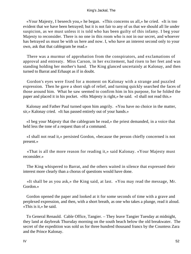«Your Majesty, I beseech you,» he began. «This concerns us all,» he cried. «It is too evident that we have been betrayed; but it is not fair to any of us that we should all lie under suspicion, as we must unless it is told who has been guilty of this infamy. I beg your Majesty to reconsider. There is no one in this room who is not in our secret, and whoever has betrayed us must be with us here and now. I, who have an interest second only to your own, ask that that cablegram be read.»

 There was a murmur of approbation from the conspirators, and exclamations of approval and entreaty. Miss Carson, in her excitement, had risen to her feet and was standing holding her mother's hand. The King glanced uncertainly at Kalonay, and then turned to Barrat and Erhaupt as if in doubt.

 Gordon's eyes were fixed for a moment on Kalonay with a strange and puzzled expression. Then he gave a short sigh of relief, and turning quickly searched the faces of those around him. What he saw seemed to confirm him in his purpose, for he folded the paper and placed it in his pocket. «His Majesty is right,» he said. «I shall not read this.»

 Kalonay and Father Paul turned upon him angrily. «You have no choice in the matter, sir,» Kalonay cried. «It has passed entirely out of your hands.»

 «I beg your Majesty that the cablegram be read,» the priest demanded, in a voice that held less the tone of a request than of a command.

 «I shall not read it,» persisted Gordon, «because the person chiefly concerned is not present.»

 «That is all the more reason for reading it,» said Kalonay. «Your Majesty must reconsider.»

 The King whispered to Barrat, and the others waited in silence that expressed their interest more clearly than a chorus of questions would have done.

 «It shall be as you ask,» the King said, at last. «You may read the message, Mr. Gordon.»

 Gordon opened the paper and looked at it for some seconds of time with a grave and perplexed expression, and then, with a short breath, as one who takes a plunge, read it aloud. «This is it,» he said.

 To General Renauld. Cable Office, Tangier. – They leave Tangier Tuesday at midnight, they land at daybreak Thursday morning on the south beach below the old breakwater. The secret of the expedition was sold us for three hundred thousand francs by the Countess Zara and the Prince Kalonay.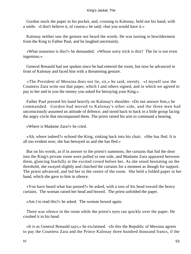Gordon stuck the paper in his pocket, and, crossing to Kalonay, held out his hand, with a smile. «I don't believe it, of course,» he said; «but you would have it.»

 Kalonay neither saw the gesture nor heard the words. He was turning in bewilderment from the King to Father Paul, and he laughed uncertainly.

 «What nonsense is this?» he demanded. «Whose sorry trick is this? The lie is not even ingenious.»

 General Renauld had not spoken since he had entered the room, but now he advanced in front of Kalonay and faced him with a threatening gesture.

 «The President of Messina does not lie, sir,» he said, sternly. «I myself saw the Countess Zara write out that paper, which I and others signed, and in which we agreed to pay to her and to you the money you asked for betraying your King.»

 Father Paul pressed his hand heavily on Kalonay's shoulder. «Do not answer him,» he commanded. Gordon had moved to Kalonay's other side, and the three men had unconsciously assumed an attitude of defence, and stood back to back in a little group facing the angry circle that encompassed them. The priest raised his arm to command a hearing.

«Where is Madame Zara?» he cried.

 «Ah, where indeed?» echoed the King, sinking back into his chair. «She has fled. It is all too evident now; she has betrayed us and she has fled.»

 But on his words, as if in answer to the priest's summons, the curtains that hid the door into the King's private room were pulled to one side, and Madame Zara appeared between them, glancing fearfully at the excited crowd before her. As she stood hesitating on the threshold, she swayed slightly and clutched the curtains for a moment as though for support. The priest advanced, and led her to the centre of the room. She held a folded paper in her hand, which she gave to him in silence.

 «You have heard what has passed?» he asked, with a toss of his head toward the heavy curtains. The woman raised her head and bowed. The priest unfolded the paper.

«Am I to read this?» he asked. The woman bowed again.

 There was silence in the room while the priest's eyes ran quickly over the paper. He crushed it in his hand.

 «It is as General Renauld says,» he exclaimed. «In this the Republic of Messina agrees to pay the Countess Zara and the Prince Kalonay three hundred thousand francs, if the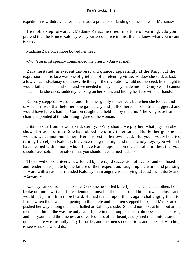expedition is withdrawn after it has made a pretence of landing on the shores of Messina.»

 He took a step forward. «Madame Zara,» he cried, in a tone of warning, «do you pretend that the Prince Kalonay was your accomplice in this; that he knew what you meant to do?»

Madame Zara once more bowed her head.

«No! You must speak,» commanded the priest. «Answer me!»

 Zara hesitated, in evident distress, and glanced appealingly at the King; but the expression on his face was one of grief and of unrelenting virtue. «I do,» she said, at last, in a low voice. «Kalonay did know. He thought the revolution would not succeed; he thought it would fail, and so – and so – and we needed money. They made me – I, O my God, I cannot – I cannot!» she cried, suddenly, sinking on her knees and hiding her face with her hands.

 Kalonay stepped toward her and lifted her gently to her feet; but when she looked and saw who it was that held her, she gave a cry and pulled herself free. She staggered and would have fallen, had not Gordon caught and held her by the arm. The King rose from his chair and pointed at the shrinking figure of the woman.

 «Stand aside from her,» he said, sternly. «Why should we pity her, what pity has she shown for us – for me? She has robbed me of my inheritance. But let her go, she is a woman; we cannot punish her. Her sins rest on her own head. But you – you,» he cried, turning fiercely on Kalonay, his voice rising to a high and melancholy key, «you whom I have heaped with honors, whom I have leaned upon as on the arm of a brother, that you should have sold me for silver, that you should have turned Judas!»

 The crowd of volunteers, bewildered by the rapid succession of events, and confused and rendered desperate by the failure of their expedition, caught up the word, and pressing forward with a rush, surrounded Kalonay in an angry circle, crying «Judas!» «Traitor!» and «Coward!»

 Kalonay turned from side to side. On some he smiled bitterly in silence, and at others he broke out into swift and fierce denunciations; but the men around him crowded closer and would not permit him to be heard. He had turned upon them, again challenging them to listen, when there was an opening in the circle and the men stepped back, and Miss Carson pushed her way among them and halted at Kalonay's side. She did not look at him, but at the men about him. She was the only calm figure in the group, and her calmness at such a crisis, and her youth, and the fineness and fearlessness of her beauty, surprised them into a sudden quiet. There was instantly a cry for order, and the men stood curious and puzzled, watching to see what she would do.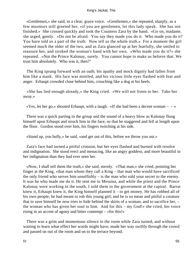«Gentlemen,» she said, in a clear, grave voice. «Gentlemen,» she repeated, sharply, as a few murmurs still greeted her, «if you are gentlemen, let this lady speak. She has not finished.» She crossed quickly and took the Countess Zara by the hand. «Go on, madame, she urged, gently. »Do not be afraid. You say they made you do it. Who made you do it? You have told us a part of the truth. Now tell us the whole truth.« For a moment the girl seemed much the older of the two, and as Zara glanced up at her fearfully, she smiled to reassure her, and stroked the woman's hand with her own. »Who made you do it?« she repeated. »Not the Prince Kalonay, surely. You cannot hope to make us believe that. We trust him absolutely. Who was it, then?"

 The King sprang forward with an oath; his apathy and mock dignity had fallen from him like a mask. His face was mottled, and his vicious little eyes flashed with fear and anger. Erhaupt crowded close behind him, crouching like a dog at his heels.

 «She has lied enough already,» the King cried. «We will not listen to her. Take her away.»

 $\langle x \rangle$  as  $\langle Y \rangle$  shouted Erhaupt, with a laugh.  $\langle x \rangle$  she had been a decent woman – –  $\langle x \rangle$ 

 There was a quick parting in the group and the sound of a heavy blow as Kalonay flung himself upon Erhaupt and struck him in the face, so that he staggered and fell at length upon the floor. Gordon stood over him, his fingers twitching at his side.

«Stand up, you bully,» he said, «and get out of this, before we throw you out.»

 Zara's face had turned a pitiful crimson, but her eyes flashed and burned with resolve and indignation. She stood erect and menacing, like an angry goddess, and more beautiful in her indignation than they had ever seen her.

 «Now, I shall tell them the truth,» she said, sternly. «That man,» she cried, pointing her finger at the King, «that man whom they call a King – that man who would have sacrificed the only friend who serves him unselfishly – is the man who sold your secret to the enemy. It was he who made me do it. He sent me to Messina, and while the priest and the Prince Kalonay were working in the south, I sold them to the government at the capital. Barrat knew it, Erhaupt knew it, the King himself planned it – to get money. He has robbed all of his own people; he had meant to rob this young girl; and he is so mean and pitiful a creature that to save himself he now tries to hide behind the skirts of a woman, and to sacrifice her, – the woman who has given her soul to him. And for this – my God!» she cried, her voice rising in an accent of agony and bitter contempt – «for this!»

 There was a grim and momentous silence in the room while Zara turned, and without waiting to learn what effect her words might have, made her way swiftly through the crowd and passed on out of the room and on to the terrace beyond.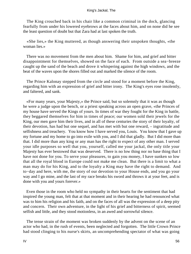The King crouched back in his chair like a common criminal in the dock, glancing fearfully from under his lowered eyebrows at the faces about him, and on none did he see the least question of doubt but that Zara had at last spoken the truth.

 «She lies,» the King muttered, as though answering their unspoken thoughts, «the woman lies.»

 There was no movement from the men about him. Shame for him, and grief and bitter disappointment for themselves, showed on the face of each. From outside a sea−breeze caught up the sand of the beach and drove it whispering against the high windows, and the beat of the waves upon the shores filled out and marked the silence of the room.

 The Prince Kalonay stepped from the circle and stood for a moment before the King, regarding him with an expression of grief and bitter irony. The King's eyes rose insolently, and faltered, and sank.

 «For many years, your Majesty,» the Prince said, but so solemnly that it was as though he were a judge upon the bench, or a priest speaking across an open grave, «the Princes of my house have served the Kings of yours. In times of war they fought for the King in battle, they beggared themselves for him in times of peace; our women sold their jewels for the King, our men gave him their lives, and in all of these centuries the story of their loyalty, of their devotion, has had but one sequel, and has met with but one reward, – ingratitude and selfishness and treachery. You know how I have served you, Louis. You know that I gave up my fortune and my home to go into exile with you, and I did that gladly. But I did more than that. I did more than any king or any man has the right to expect of any other man. I served your idle purposes so well that you, yourself, called me your jackal, the only title your Majesty has ever bestowed that was deserved. There is no low thing nor no base thing that I have not done for you. To serve your pleasures, to gain you money, I have sunken so low that all the royal blood in Europe could not make me clean. But there is a limit to what a man may do for his King, and to the loyalty a King may have the right to demand. And to−day and here, with me, the story of our devotion to your House ends, and you go your way and I go mine, and the last of my race breaks his sword and throws it at your feet, and is done with you and yours forever.»

 Even those in the room who held no sympathy in their hearts for the sentiment that had inspired the young man, felt that at that moment and in their hearing he had renounced what was to him his religion and his faith, and on the faces of all was the expression of a deep pity and concern. Their own adventure, in the light of his grief and bitterness of spirit, seemed selfish and little, and they stood motionless, in an awed and sorrowful silence.

 The tense strain of the moment was broken suddenly by the advent on the scene of an actor who had, in the rush of events, been neglected and forgotten. The little Crown Prince had stood clinging to his nurse's skirts, an uncomprehending spectator of what was going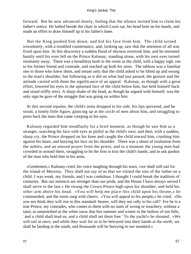forward. But he now advanced slowly, feeling that the silence invited him to claim his father's notice. He halted beside the chair in which Louis sat, his head bent on his hands, and made an effort to draw himself up to his father's knee.

 But the King pushed him down, and hid his face from him. The child turned irresolutely, with a troubled countenance, and, looking up, saw that the attention of all was fixed upon him. At this discovery a sudden flood of shyness overtook him, and he retreated hastily until his eyes fell on the Prince Kalonay, standing alone, with his own eyes turned resolutely away. There was a breathless hush in the room as the child, with a happy sigh, ran to his former friend and comrade, and reached up both his arms. The tableau was a familiar one to those who knew them, and meant only that the child asked to be lifted up and swung to the man's shoulder; but following as it did on what had just passed, the gesture and the attitude carried with them the significance of an appeal. Kalonay, as though with a great effort, lowered his eyes to the upturned face of the child below him, but held himself back and stood stiffly erect. A sharp shake of the head, as though he argued with himself, was the only sign he gave of the struggle that was going on within him.

 At this second repulse, the child's arms dropped to his side, his lips quivered, and he stood, a lonely little figure, glancing up at the circle of men about him, and struggling to press back the tears that came creeping to his eyes.

 Kalonay regarded him steadfastly for a brief moment, as though he saw him as a stranger, searching his face with eyes as pitiful as the child's own; and then, with a sudden, sharp cry, the Prince dropped on his knee and caught the child toward him, crushing him against his heart, and burying his face on his shoulder. There was a shout of exultation from the nobles, and an uttered prayer from the priest, and in a moment the young men had crowded in around them, struggling to be the first to kiss the child's hands, and to ask pardon of the man who held him in his arms.

 «Gentlemen,» Kalonay cried, his voice laughing through his tears, «we shall still sail for the island of Messina. They shall not say of us that we visited the sins of the father on a child. I was weak, my friends, and I was credulous. I thought I could break the tradition of centuries. But our instincts are stronger than our pride, and the House I have always served I shall serve to the last.» He swung the Crown Prince high upon his shoulder, and held his other arm above his head. «You will help me place this child upon his throne,» he commanded, and the room rang with cheers. «You will appeal to his people,» he cried. «Do you not think they will rise to this standard−bearer, will they not rally to his call? For he is a true Prince, my comrades, who comes to them with no stain of wrong or treachery, without a taint, as untarnished as the white snow that lies summer and winter in the hollow of our hills, `and a child shall lead us, and a child shall set them free.' To the yacht!» he shouted. «We will sail at once, and while they wait for us to be betrayed into their hands at the north, we shall be landing in the south, and thousands will be hurrying to our standard.»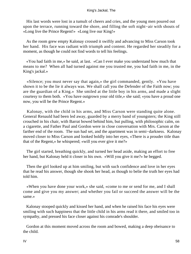His last words were lost in a tumult of cheers and cries, and the young men poured out upon the terrace, running toward the shore, and filling the soft night−air with shouts of «Long live the Prince Regent!» «Long live our King!»

 As the room grew empty Kalonay crossed it swiftly and advancing to Miss Carson took her hand. His face was radiant with triumph and content. He regarded her steadily for a moment, as though he could not find words to tell his feelings.

 «You had faith in me,» he said, at last. «Can I ever make you understand how much that means to me? When all had turned against me you trusted me, you had faith in me, in the King's jackal.»

 «Silence; you must never say that again,» the girl commanded, gently. «You have shown it to be the lie it always was. We shall call you the Defender of the Faith now; you are the guardian of a King.» She smiled at the little boy in his arms, and made a slight courtesy to them both. «You have outgrown your old title,» she said; «you have a proud one now, you will be the Prince Regent.»

 Kalonay, with the child in his arms, and Miss Carson were standing quite alone. General Renauld had been led away, guarded by a merry band of youngsters; the King still crouched in his chair, with Barrat bowed behind him, but pulling, with philosophic calm, on a cigarette, and Father Paul and Gordon were in close conversation with Mrs. Carson at the farther end of the room. The sun had set, and the apartment was in semi−darkness. Kalonay moved closer to Miss Carson and looked boldly into her eyes, «There is a prouder title than that of the Regent,» he whispered; «will you ever give it me?»

 The girl started, breathing quickly, and turned her head aside, making an effort to free her hand, but Kalonay held it closer in his own. «Will you give it me?» he begged.

 Then the girl looked up at him smiling, but with such confidence and love in her eyes that he read his answer, though she shook her head, as though to belie the truth her eyes had told him.

 «When you have done your work,» she said, «come to me or send for me, and I shall come and give you my answer; and whether you fail or succeed the answer will be the same.»

 Kalonay stooped quickly and kissed her hand, and when he raised his face his eyes were smiling with such happiness that the little child in his arms read it there, and smiled too in sympathy, and pressed his face closer against his comrade's shoulder.

 Gordon at this moment moved across the room and bowed, making a deep obeisance to the child.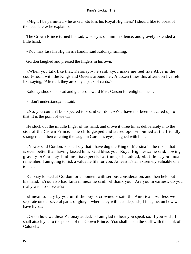«Might I be permitted,» he asked, «to kiss his Royal Highness? I should like to boast of the fact, later,» he explained.

 The Crown Prince turned his sad, wise eyes on him in silence, and gravely extended a little hand.

«You may kiss his Highness's hand,» said Kalonay, smiling.

Gordon laughed and pressed the fingers in his own.

 «When you talk like that, Kalonay,» he said, «you make me feel like Alice in the court−room with the Kings and Queens around her. A dozen times this afternoon I've felt like saying, `After all, they are only a pack of cards.'»

Kalonay shook his head and glanced toward Miss Carson for enlightenment.

«I don't understand,» he said.

 «No, you couldn't be expected to,» said Gordon; «You have not been educated up to that. It is the point of view.»

 He stuck out the middle finger of his hand, and drove it three times deliberately into the side of the Crown Prince. The child gasped and stared open−mouthed at the friendly stranger, and then catching the laugh in Gordon's eyes, laughed with him.

 «Now,» said Gordon, «I shall say that I have dug the King of Messina in the ribs – that is even better than having kissed him. God bless your Royal Highness,» he said, bowing gravely. «You may find me disrespectful at times,» he added; «but then, you must remember, I am going to risk a valuable life for you. At least it's an extremely valuable one to me.»

 Kalonay looked at Gordon for a moment with serious consideration, and then held out his hand. «You also had faith in me,» he said. «I thank you. Are you in earnest; do you really wish to serve us?»

 «I mean to stay by you until the boy is crowned,» said the American, «unless we separate on our several paths of glory – where they will lead depends, I imagine, on how we have lived.»

 «Or on how we die,» Kalonay added. «I am glad to hear you speak so. If you wish, I shall attach you to the person of the Crown Prince. You shall be on the staff with the rank of Colonel.»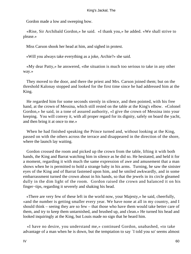Gordon made a low and sweeping bow.

 «Rise, Sir Archibald Gordon,» he said. «I thank you,» he added. «We shall strive to please.»

Miss Carson shook her head at him, and sighed in protest.

«Will you always take everything as a joke, Archie?» she said.

 «My dear Patty,» he answered, «the situation is much too serious to take in any other way.»

 They moved to the door, and there the priest and Mrs. Carson joined them; but on the threshold Kalonay stopped and looked for the first time since he had addressed him at the King.

 He regarded him for some seconds sternly in silence, and then pointed, with his free hand, at the crown of Messina, which still rested on the table at the King's elbow. «Colonel Gordon,» he said, in a tone of assured authority, «I give the crown of Messina into your keeping. You will convey it, with all proper regard for its dignity, safely on board the yacht, and then bring it at once to me.»

 When he had finished speaking the Prince turned and, without looking at the King, passed on with the others across the terrace and disappeared in the direction of the shore, where the launch lay waiting.

 Gordon crossed the room and picked up the crown from the table, lifting it with both hands, the King and Barrat watching him in silence as he did so. He hesitated, and held it for a moment, regarding it with much the same expression of awe and amusement that a man shows when he is permitted to hold a strange baby in his arms. Turning, he saw the sinister eyes of the King and of Barrat fastened upon him, and he smiled awkwardly, and in some embarrassment turned the crown about in his hands, so that the jewels in its circle gleamed dully in the dim light of the room. Gordon raised the crown and balanced it on his finger−tips, regarding it severely and shaking his head.

 «There are very few of these left in the world now, your Majesty,» he said, cheerfully, «and the number is getting smaller every year. We have none at all in my country, and I should think – seeing they are so few – that those who have them would take better care of them, and try to keep them untarnished, and brushed up, and clean.» He turned his head and looked inquiringly at the King, but Louis made no sign that he heard him.

 «I have no desire, you understand me,» continued Gordon, unabashed, «to take advantage of a man when he is down, but the temptation to say `I told you so' seems almost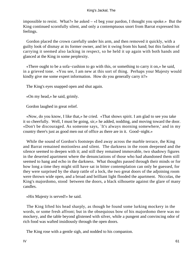impossible to resist. What?» he asked – «I beg your pardon, I thought you spoke.» But the King continued scornfully silent, and only a contemptuous snort from Barrat expressed his feelings.

 Gordon placed the crown carefully under his arm, and then removed it quickly, with a guilty look of dismay at its former owner, and let it swing from his hand; but this fashion of carrying it seemed also lacking in respect, so he held it up again with both hands and glanced at the King in some perplexity.

 «There ought to be a sofa−cushion to go with this, or something to carry it on,» he said, in a grieved tone. «You see, I am new at this sort of thing. Perhaps your Majesty would kindly give me some expert information. How do you generally carry it?»

The King's eyes snapped open and shut again.

«On my head,» he said, grimly.

Gordon laughed in great relief.

 «Now, do you know, I like that,» he cried. «That shows spirit. I am glad to see you take it so cheerfully. Well, I must be going, sir,» he added, nodding, and moving toward the door. «Don't be discouraged. As someone says, `It's always morning somewhere,' and in my country there's just as good men out of office as there are in it. Good−night.»

 While the sound of Gordon's footsteps died away across the marble terrace, the King and Barrat remained motionless and silent. The darkness in the room deepened and the silence seemed to deepen with it; and still they remained immovable, two shadowy figures in the deserted apartment where the denunciations of those who had abandoned them still seemed to hang and echo in the darkness. What thoughts passed through their minds or for how long a time they might still have sat in bitter contemplation can only be guessed, for they were surprised by the sharp rattle of a lock, the two great doors of the adjoining room were thrown wide open, and a broad and brilliant light flooded the apartment. Niccolas, the King's majordomo, stood between the doors, a black silhouette against the glare of many candles.

«His Majesty is served!» he said.

 The King lifted his head sharply, as though he found some lurking mockery in the words, or some fresh affront; but in the obsequious bow of his majordomo there was no mockery, and the table beyond glistened with silver, while a pungent and convincing odor of rich food was wafted insidiously through the open doors.

The King rose with a gentle sigh, and nodded to his companion.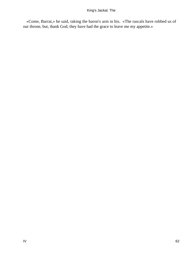«Come, Barrat,» he said, taking the baron's arm in his. «The rascals have robbed us of our throne, but, thank God, they have had the grace to leave me my appetite.»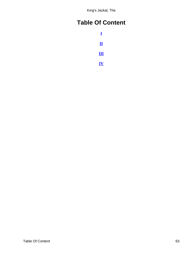# <span id="page-63-0"></span>**Table Of Content**

**[I](#page-3-0) [II](#page-17-0) [III](#page-33-0) [IV](#page-45-0)**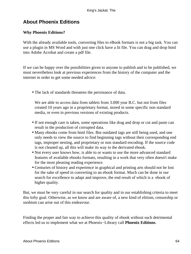# <span id="page-64-0"></span>**About Phoenix Editions**

### **Why Phoenix Editions?**

With the already available tools, converting files to eBook formats is not a big task. You can use a plugin in MS Word and with just one click have a lit file. You can drag and drop html into Adobe Acrobat and create a pdf file.

If we can be happy over the possibilities given to anyone to publish and to be published, we must nevertheless look at previous experiences from the history of the computer and the internet in order to get some needed advice:

• The lack of standards threatens the persistance of data.

We are able to access data from tablets from 3.000 year B.C. but not from files created 10 years ago in a proprietary format, stored in some specific non standard media, or even in previous versions of existing products.

- If not enough care is taken, some operations like drag and drop or cut and paste can result in the production of corrupted data.
- Many ebooks come from html files. But outdated tags are still being used, and one only needs to view the source to find beginning tags without their corresponding end tags, improper nesting, and proprietary or non standard encoding. If the source code is not cleaned up, all this will make its way to the derivated ebook.
- Not every user knows how, is able to or wants to use the more advanced standard features of available ebooks formats, resulting in a work that very often doesn't make for the most pleasing reading experience.
- Centuries of history and experience in graphical and printing arts should not be lost for the sake of speed in converting to an ebook format. Much can be done in our search for excellence to adapt and improve, the end result of which is a ebook of higher quality.

But, we must be very careful in our search for quality and in our establishing criteria to meet this lofty goal. Otherwise, as we know and are aware of, a new kind of elitism, censorship or snobism can arise out of this endeavour.

Finding the proper and fair way to achieve this quality of ebook without such detrimental effects led us to implement what we at Phoenix−Library call **Phoenix Editions**.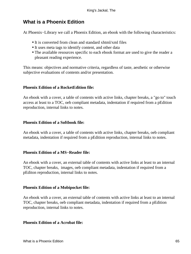# **What is a Phoenix Edition**

At Phoenix−Library we call a Phoenix Edition, an ebook with the following characteristics:

- It is converted from clean and standard xhtml/xml files
- It uses meta tags to identify content, and other data
- The available resources specific to each ebook format are used to give the reader a pleasant reading experience.

This means: objectives and normative criteria, regardless of taste, aesthetic or otherwise subjective evaluations of contents and/or presentation.

### **Phoenix Edition of a RocketEdition file:**

An ebook with a cover, a table of contents with active links, chapter breaks, a "go to" touch access at least to a TOC, oeb compliant metadata, indentation if required from a pEdition reproduction, internal links to notes.

### **Phoenix Edition of a Softbook file:**

An ebook with a cover, a table of contents with active links, chapter breaks, oeb compliant metadata, indentation if required from a pEdition reproduction, internal links to notes.

### **Phoenix Edition of a MS−Reader file:**

An ebook with a cover, an external table of contents with active links at least to an internal TOC, chapter breaks, images, oeb compliant metadata, indentation if required from a pEditon reproduction, internal links to notes.

### **Phoenix Edition of a Mobipocket file:**

An ebook with a cover, an external table of contents with active links at least to an internal TOC, chapter breaks, oeb compliant metadata, indentation if required from a pEdition reproduction, internal links to notes.

### **Phoenix Edition of a Acrobat file:**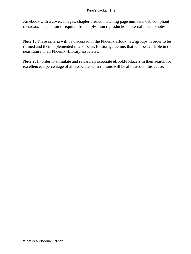An ebook with a cover, images, chapter breaks, matching page numbers, oeb compliant metadata, indentation if required from a pEdition reproduction, internal links to notes.

**Note 1:** These criteria will be discussed in the Phoenix eBook newsgroups in order to be refined and then implemented in a Phoenix Edition guideline, that will be available in the near future to all Phoenix−Library associates.

**Note 2:** In order to stimulate and reward all associate eBookProducers in their search for excellence, a percentage of all associate subscriptions will be allocated to this cause.